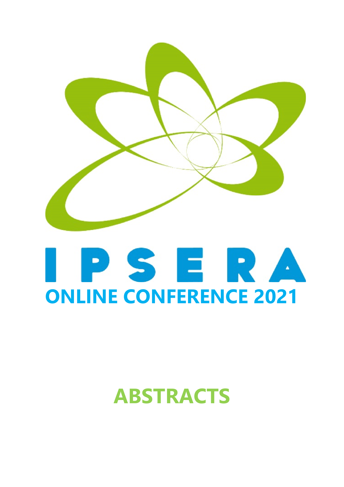

# PSERA **ONLINE CONFERENCE 2021**

## **ABSTRACTS**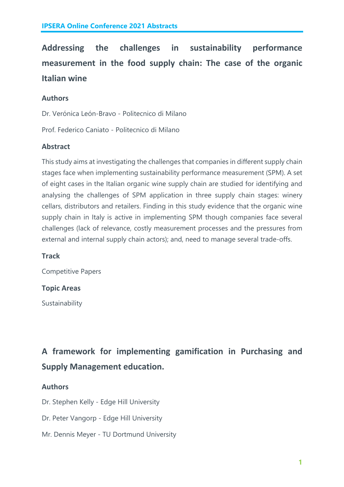**Addressing the challenges in sustainability performance measurement in the food supply chain: The case of the organic Italian wine**

#### **Authors**

Dr. Verónica León-Bravo - Politecnico di Milano

Prof. Federico Caniato - Politecnico di Milano

#### **Abstract**

This study aims at investigating the challenges that companies in different supply chain stages face when implementing sustainability performance measurement (SPM). A set of eight cases in the Italian organic wine supply chain are studied for identifying and analysing the challenges of SPM application in three supply chain stages: winery cellars, distributors and retailers. Finding in this study evidence that the organic wine supply chain in Italy is active in implementing SPM though companies face several challenges (lack of relevance, costly measurement processes and the pressures from external and internal supply chain actors); and, need to manage several trade-offs.

#### **Track**

Competitive Papers

#### **Topic Areas**

Sustainability

**A framework for implementing gamification in Purchasing and Supply Management education.**

#### **Authors**

Dr. Stephen Kelly - Edge Hill University

- Dr. Peter Vangorp Edge Hill University
- Mr. Dennis Meyer TU Dortmund University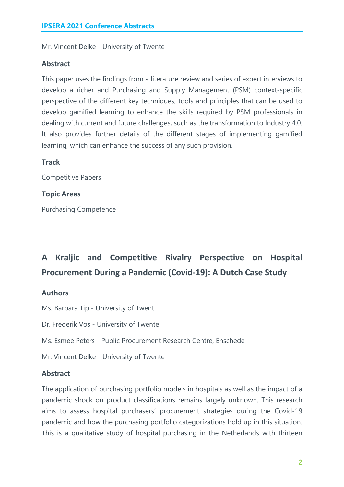Mr. Vincent Delke - University of Twente

#### **Abstract**

This paper uses the findings from a literature review and series of expert interviews to develop a richer and Purchasing and Supply Management (PSM) context-specific perspective of the different key techniques, tools and principles that can be used to develop gamified learning to enhance the skills required by PSM professionals in dealing with current and future challenges, such as the transformation to Industry 4.0. It also provides further details of the different stages of implementing gamified learning, which can enhance the success of any such provision.

**Track**

Competitive Papers

**Topic Areas**

Purchasing Competence

### **A Kraljic and Competitive Rivalry Perspective on Hospital Procurement During a Pandemic (Covid-19): A Dutch Case Study**

#### **Authors**

Ms. Barbara Tip - University of Twent

Dr. Frederik Vos - University of Twente

Ms. Esmee Peters - Public Procurement Research Centre, Enschede

Mr. Vincent Delke - University of Twente

#### **Abstract**

The application of purchasing portfolio models in hospitals as well as the impact of a pandemic shock on product classifications remains largely unknown. This research aims to assess hospital purchasers' procurement strategies during the Covid-19 pandemic and how the purchasing portfolio categorizations hold up in this situation. This is a qualitative study of hospital purchasing in the Netherlands with thirteen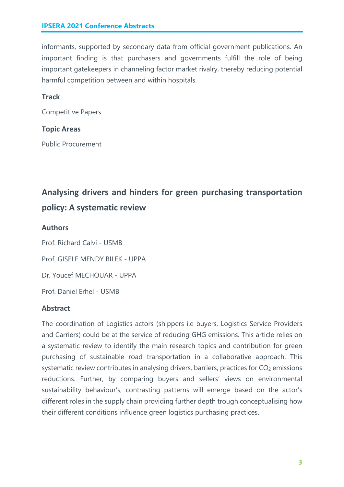informants, supported by secondary data from official government publications. An important finding is that purchasers and governments fulfill the role of being important gatekeepers in channeling factor market rivalry, thereby reducing potential harmful competition between and within hospitals.

#### **Track**

Competitive Papers

#### **Topic Areas**

Public Procurement

### **Analysing drivers and hinders for green purchasing transportation policy: A systematic review**

#### **Authors**

Prof. Richard Calvi - USMB Prof. GISELE MENDY BILEK - UPPA Dr. Youcef MECHOUAR - UPPA Prof. Daniel Erhel - USMB

#### **Abstract**

The coordination of Logistics actors (shippers i.e buyers, Logistics Service Providers and Carriers) could be at the service of reducing GHG emissions. This article relies on a systematic review to identify the main research topics and contribution for green purchasing of sustainable road transportation in a collaborative approach. This systematic review contributes in analysing drivers, barriers, practices for  $CO<sub>2</sub>$  emissions reductions. Further, by comparing buyers and sellers' views on environmental sustainability behaviour's, contrasting patterns will emerge based on the actor's different roles in the supply chain providing further depth trough conceptualising how their different conditions influence green logistics purchasing practices.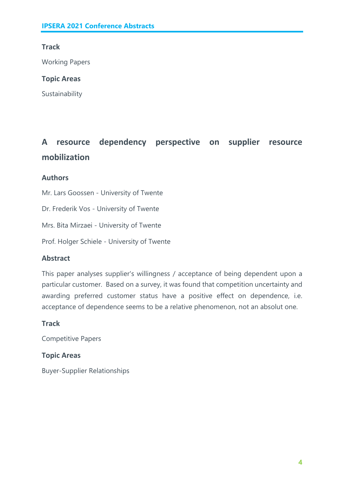#### **Track**

Working Papers

#### **Topic Areas**

Sustainability

### **A resource dependency perspective on supplier resource mobilization**

#### **Authors**

Mr. Lars Goossen - University of Twente

Dr. Frederik Vos - University of Twente

Mrs. Bita Mirzaei - University of Twente

Prof. Holger Schiele - University of Twente

#### **Abstract**

This paper analyses supplier's willingness / acceptance of being dependent upon a particular customer. Based on a survey, it was found that competition uncertainty and awarding preferred customer status have a positive effect on dependence, i.e. acceptance of dependence seems to be a relative phenomenon, not an absolut one.

#### **Track**

Competitive Papers

#### **Topic Areas**

Buyer-Supplier Relationships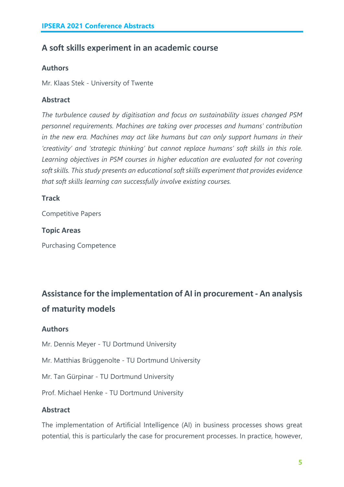#### **A soft skills experiment in an academic course**

#### **Authors**

Mr. Klaas Stek - University of Twente

#### **Abstract**

*The turbulence caused by digitisation and focus on sustainability issues changed PSM personnel requirements. Machines are taking over processes and humans' contribution in the new era. Machines may act like humans but can only support humans in their 'creativity' and 'strategic thinking' but cannot replace humans' soft skills in this role. Learning objectives in PSM courses in higher education are evaluated for not covering soft skills. This study presents an educational soft skills experiment that provides evidence that soft skills learning can successfully involve existing courses.*

#### **Track**

Competitive Papers

#### **Topic Areas**

Purchasing Competence

### **Assistance for the implementation of AI in procurement - An analysis of maturity models**

#### **Authors**

Mr. Dennis Meyer - TU Dortmund University

Mr. Matthias Brüggenolte - TU Dortmund University

Mr. Tan Gürpinar - TU Dortmund University

Prof. Michael Henke - TU Dortmund University

#### **Abstract**

The implementation of Artificial Intelligence (AI) in business processes shows great potential, this is particularly the case for procurement processes. In practice, however,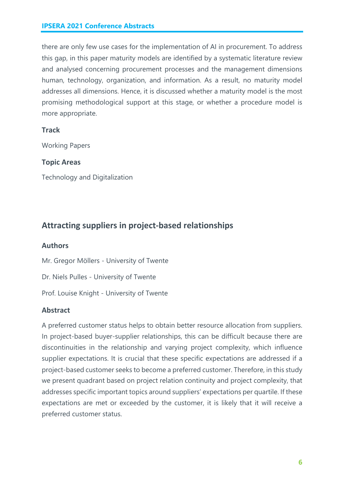there are only few use cases for the implementation of AI in procurement. To address this gap, in this paper maturity models are identified by a systematic literature review and analysed concerning procurement processes and the management dimensions human, technology, organization, and information. As a result, no maturity model addresses all dimensions. Hence, it is discussed whether a maturity model is the most promising methodological support at this stage, or whether a procedure model is more appropriate.

#### **Track**

Working Papers

#### **Topic Areas**

Technology and Digitalization

#### **Attracting suppliers in project-based relationships**

#### **Authors**

Mr. Gregor Möllers - University of Twente

Dr. Niels Pulles - University of Twente

Prof. Louise Knight - University of Twente

#### **Abstract**

A preferred customer status helps to obtain better resource allocation from suppliers. In project-based buyer-supplier relationships, this can be difficult because there are discontinuities in the relationship and varying project complexity, which influence supplier expectations. It is crucial that these specific expectations are addressed if a project-based customer seeks to become a preferred customer. Therefore, in this study we present quadrant based on project relation continuity and project complexity, that addresses specific important topics around suppliers' expectations per quartile. If these expectations are met or exceeded by the customer, it is likely that it will receive a preferred customer status.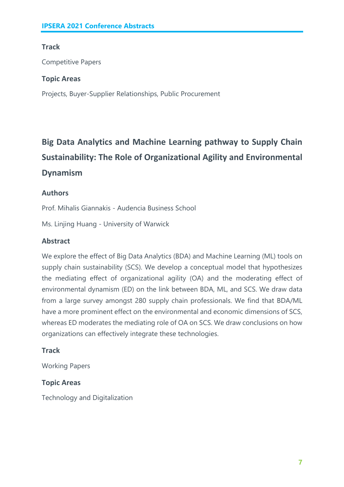#### **Track**

Competitive Papers

#### **Topic Areas**

Projects, Buyer-Supplier Relationships, Public Procurement

### **Big Data Analytics and Machine Learning pathway to Supply Chain Sustainability: The Role of Organizational Agility and Environmental Dynamism**

#### **Authors**

Prof. Mihalis Giannakis - Audencia Business School

Ms. Linjing Huang - University of Warwick

#### **Abstract**

We explore the effect of Big Data Analytics (BDA) and Machine Learning (ML) tools on supply chain sustainability (SCS). We develop a conceptual model that hypothesizes the mediating effect of organizational agility (OA) and the moderating effect of environmental dynamism (ED) on the link between BDA, ML, and SCS. We draw data from a large survey amongst 280 supply chain professionals. We find that BDA/ML have a more prominent effect on the environmental and economic dimensions of SCS, whereas ED moderates the mediating role of OA on SCS. We draw conclusions on how organizations can effectively integrate these technologies.

#### **Track**

Working Papers

#### **Topic Areas**

Technology and Digitalization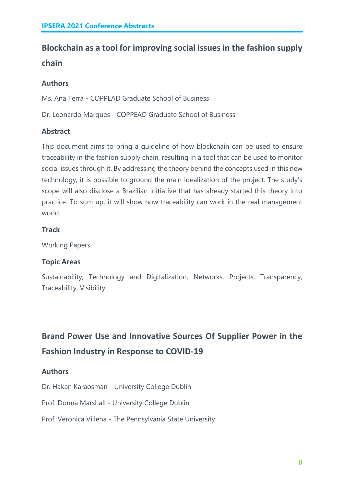### **Blockchain as a tool for improving social issues in the fashion supply chain**

#### **Authors**

Ms. Ana Terra - COPPEAD Graduate School of Business

Dr. Leonardo Marques - COPPEAD Graduate School of Business

#### **Abstract**

This document aims to bring a guideline of how blockchain can be used to ensure traceability in the fashion supply chain, resulting in a tool that can be used to monitor social issues through it. By addressing the theory behind the concepts used in this new technology, it is possible to ground the main idealization of the project. The study's scope will also disclose a Brazilian initiative that has already started this theory into practice. To sum up, it will show how traceability can work in the real management world.

#### **Track**

Working Papers

#### **Topic Areas**

Sustainability, Technology and Digitalization, Networks, Projects, Transparency, Traceability, Visibility

### **Brand Power Use and Innovative Sources Of Supplier Power in the Fashion Industry in Response to COVID-19**

#### **Authors**

Dr. Hakan Karaosman - University College Dublin

Prof. Donna Marshall - University College Dublin

Prof. Veronica Villena - The Pennsylvania State University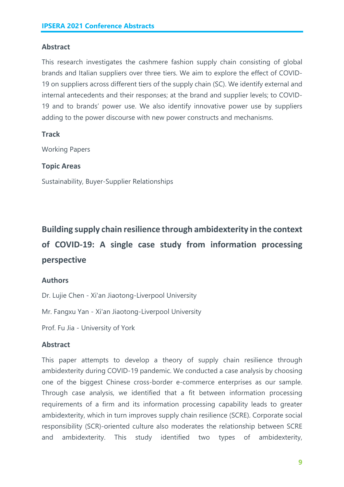#### **Abstract**

This research investigates the cashmere fashion supply chain consisting of global brands and Italian suppliers over three tiers. We aim to explore the effect of COVID-19 on suppliers across different tiers of the supply chain (SC). We identify external and internal antecedents and their responses; at the brand and supplier levels; to COVID-19 and to brands' power use. We also identify innovative power use by suppliers adding to the power discourse with new power constructs and mechanisms.

#### **Track**

Working Papers

#### **Topic Areas**

Sustainability, Buyer-Supplier Relationships

### **Building supply chain resilience through ambidexterity in the context of COVID-19: A single case study from information processing perspective**

#### **Authors**

Dr. Lujie Chen - Xi'an Jiaotong-Liverpool University

Mr. Fangxu Yan - Xi'an Jiaotong-Liverpool University

Prof. Fu Jia - University of York

#### **Abstract**

This paper attempts to develop a theory of supply chain resilience through ambidexterity during COVID-19 pandemic. We conducted a case analysis by choosing one of the biggest Chinese cross-border e-commerce enterprises as our sample. Through case analysis, we identified that a fit between information processing requirements of a firm and its information processing capability leads to greater ambidexterity, which in turn improves supply chain resilience (SCRE). Corporate social responsibility (SCR)-oriented culture also moderates the relationship between SCRE and ambidexterity. This study identified two types of ambidexterity,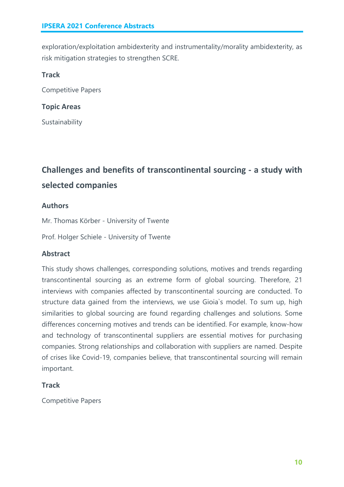exploration/exploitation ambidexterity and instrumentality/morality ambidexterity, as risk mitigation strategies to strengthen SCRE.

#### **Track**

Competitive Papers

#### **Topic Areas**

Sustainability

### **Challenges and benefits of transcontinental sourcing - a study with selected companies**

#### **Authors**

Mr. Thomas Körber - University of Twente

Prof. Holger Schiele - University of Twente

#### **Abstract**

This study shows challenges, corresponding solutions, motives and trends regarding transcontinental sourcing as an extreme form of global sourcing. Therefore, 21 interviews with companies affected by transcontinental sourcing are conducted. To structure data gained from the interviews, we use Gioia`s model. To sum up, high similarities to global sourcing are found regarding challenges and solutions. Some differences concerning motives and trends can be identified. For example, know-how and technology of transcontinental suppliers are essential motives for purchasing companies. Strong relationships and collaboration with suppliers are named. Despite of crises like Covid-19, companies believe, that transcontinental sourcing will remain important.

#### **Track**

Competitive Papers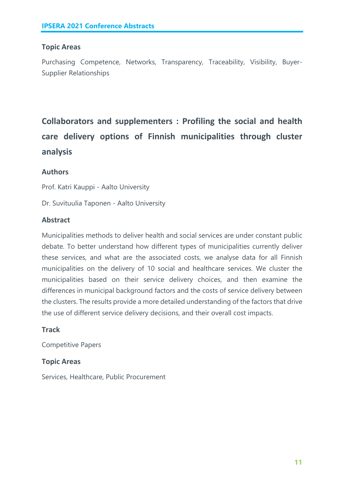#### **Topic Areas**

Purchasing Competence, Networks, Transparency, Traceability, Visibility, Buyer-Supplier Relationships

**Collaborators and supplementers : Profiling the social and health care delivery options of Finnish municipalities through cluster analysis**

#### **Authors**

Prof. Katri Kauppi - Aalto University

Dr. Suvituulia Taponen - Aalto University

#### **Abstract**

Municipalities methods to deliver health and social services are under constant public debate. To better understand how different types of municipalities currently deliver these services, and what are the associated costs, we analyse data for all Finnish municipalities on the delivery of 10 social and healthcare services. We cluster the municipalities based on their service delivery choices, and then examine the differences in municipal background factors and the costs of service delivery between the clusters. The results provide a more detailed understanding of the factors that drive the use of different service delivery decisions, and their overall cost impacts.

#### **Track**

Competitive Papers

#### **Topic Areas**

Services, Healthcare, Public Procurement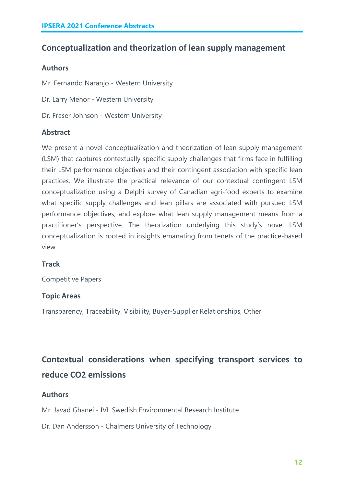#### **Conceptualization and theorization of lean supply management**

#### **Authors**

Mr. Fernando Naranjo - Western University

- Dr. Larry Menor Western University
- Dr. Fraser Johnson Western University

#### **Abstract**

We present a novel conceptualization and theorization of lean supply management (LSM) that captures contextually specific supply challenges that firms face in fulfilling their LSM performance objectives and their contingent association with specific lean practices. We illustrate the practical relevance of our contextual contingent LSM conceptualization using a Delphi survey of Canadian agri-food experts to examine what specific supply challenges and lean pillars are associated with pursued LSM performance objectives, and explore what lean supply management means from a practitioner's perspective. The theorization underlying this study's novel LSM conceptualization is rooted in insights emanating from tenets of the practice-based view.

#### **Track**

Competitive Papers

#### **Topic Areas**

Transparency, Traceability, Visibility, Buyer-Supplier Relationships, Other

### **Contextual considerations when specifying transport services to reduce CO2 emissions**

#### **Authors**

Mr. Javad Ghanei - IVL Swedish Environmental Research Institute

Dr. Dan Andersson - Chalmers University of Technology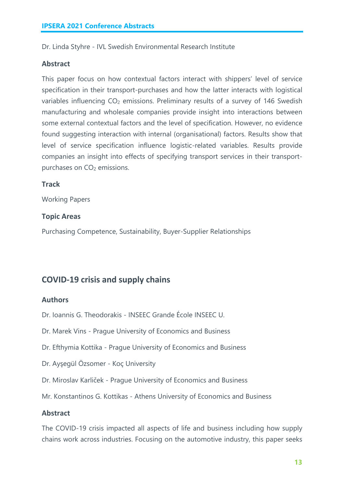Dr. Linda Styhre - IVL Swedish Environmental Research Institute

#### **Abstract**

This paper focus on how contextual factors interact with shippers' level of service specification in their transport-purchases and how the latter interacts with logistical variables influencing  $CO<sub>2</sub>$  emissions. Preliminary results of a survey of 146 Swedish manufacturing and wholesale companies provide insight into interactions between some external contextual factors and the level of specification. However, no evidence found suggesting interaction with internal (organisational) factors. Results show that level of service specification influence logistic-related variables. Results provide companies an insight into effects of specifying transport services in their transportpurchases on CO<sub>2</sub> emissions.

#### **Track**

Working Papers

#### **Topic Areas**

Purchasing Competence, Sustainability, Buyer-Supplier Relationships

#### **COVID-19 crisis and supply chains**

#### **Authors**

Dr. Ioannis G. Theodorakis - INSEEC Grande École INSEEC U.

- Dr. Marek Vins Prague University of Economics and Business
- Dr. Efthymia Kottika Prague University of Economics and Business
- Dr. Ayşegül Özsomer Koç University
- Dr. Miroslav Karliček Prague University of Economics and Business

Mr. Konstantinos G. Kottikas - Athens University of Economics and Business

#### **Abstract**

The COVID-19 crisis impacted all aspects of life and business including how supply chains work across industries. Focusing on the automotive industry, this paper seeks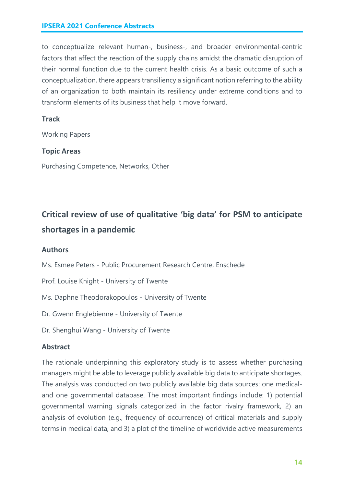to conceptualize relevant human-, business-, and broader environmental-centric factors that affect the reaction of the supply chains amidst the dramatic disruption of their normal function due to the current health crisis. As a basic outcome of such a conceptualization, there appears transiliency a significant notion referring to the ability of an organization to both maintain its resiliency under extreme conditions and to transform elements of its business that help it move forward.

#### **Track**

Working Papers

#### **Topic Areas**

Purchasing Competence, Networks, Other

### **Critical review of use of qualitative 'big data' for PSM to anticipate shortages in a pandemic**

#### **Authors**

Ms. Esmee Peters - Public Procurement Research Centre, Enschede

Prof. Louise Knight - University of Twente

Ms. Daphne Theodorakopoulos - University of Twente

Dr. Gwenn Englebienne - University of Twente

Dr. Shenghui Wang - University of Twente

#### **Abstract**

The rationale underpinning this exploratory study is to assess whether purchasing managers might be able to leverage publicly available big data to anticipate shortages. The analysis was conducted on two publicly available big data sources: one medicaland one governmental database. The most important findings include: 1) potential governmental warning signals categorized in the factor rivalry framework, 2) an analysis of evolution (e.g., frequency of occurrence) of critical materials and supply terms in medical data, and 3) a plot of the timeline of worldwide active measurements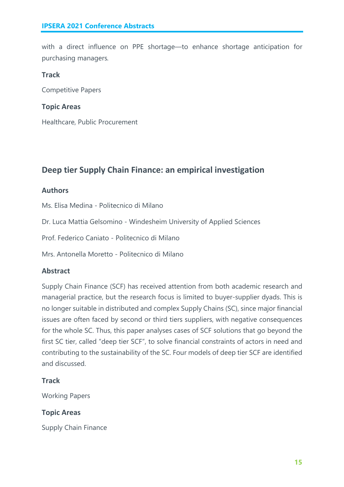with a direct influence on PPE shortage—to enhance shortage anticipation for purchasing managers*.*

#### **Track**

Competitive Papers

#### **Topic Areas**

Healthcare, Public Procurement

#### **Deep tier Supply Chain Finance: an empirical investigation**

#### **Authors**

Ms. Elisa Medina - Politecnico di Milano

Dr. Luca Mattia Gelsomino - Windesheim University of Applied Sciences

Prof. Federico Caniato - Politecnico di Milano

Mrs. Antonella Moretto - Politecnico di Milano

#### **Abstract**

Supply Chain Finance (SCF) has received attention from both academic research and managerial practice, but the research focus is limited to buyer-supplier dyads. This is no longer suitable in distributed and complex Supply Chains (SC), since major financial issues are often faced by second or third tiers suppliers, with negative consequences for the whole SC. Thus, this paper analyses cases of SCF solutions that go beyond the first SC tier, called "deep tier SCF", to solve financial constraints of actors in need and contributing to the sustainability of the SC. Four models of deep tier SCF are identified and discussed.

#### **Track**

Working Papers

#### **Topic Areas**

Supply Chain Finance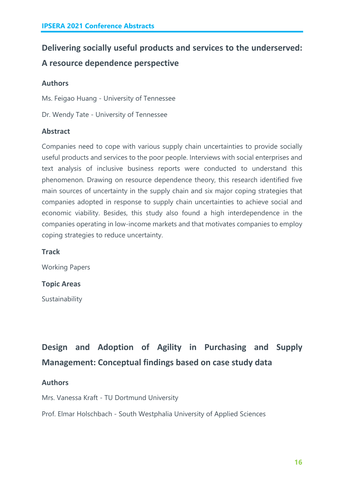### **Delivering socially useful products and services to the underserved: A resource dependence perspective**

#### **Authors**

Ms. Feigao Huang - University of Tennessee

Dr. Wendy Tate - University of Tennessee

#### **Abstract**

Companies need to cope with various supply chain uncertainties to provide socially useful products and services to the poor people. Interviews with social enterprises and text analysis of inclusive business reports were conducted to understand this phenomenon. Drawing on resource dependence theory, this research identified five main sources of uncertainty in the supply chain and six major coping strategies that companies adopted in response to supply chain uncertainties to achieve social and economic viability. Besides, this study also found a high interdependence in the companies operating in low-income markets and that motivates companies to employ coping strategies to reduce uncertainty.

#### **Track**

Working Papers

#### **Topic Areas**

Sustainability

**Design and Adoption of Agility in Purchasing and Supply Management: Conceptual findings based on case study data**

#### **Authors**

Mrs. Vanessa Kraft - TU Dortmund University

Prof. Elmar Holschbach - South Westphalia University of Applied Sciences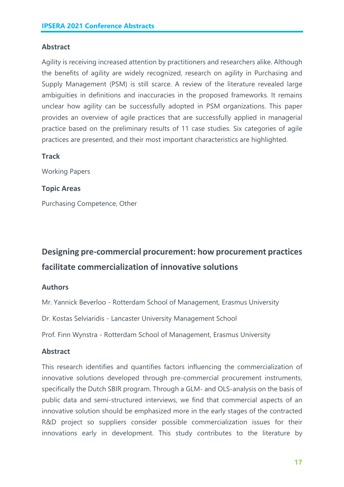#### **Abstract**

Agility is receiving increased attention by practitioners and researchers alike. Although the benefits of agility are widely recognized, research on agility in Purchasing and Supply Management (PSM) is still scarce. A review of the literature revealed large ambiguities in definitions and inaccuracies in the proposed frameworks. It remains unclear how agility can be successfully adopted in PSM organizations. This paper provides an overview of agile practices that are successfully applied in managerial practice based on the preliminary results of 11 case studies. Six categories of agile practices are presented, and their most important characteristics are highlighted.

#### **Track**

Working Papers

#### **Topic Areas**

Purchasing Competence, Other

### **Designing pre-commercial procurement: how procurement practices facilitate commercialization of innovative solutions**

#### **Authors**

Mr. Yannick Beverloo - Rotterdam School of Management, Erasmus University

Dr. Kostas Selviaridis - Lancaster University Management School

Prof. Finn Wynstra - Rotterdam School of Management, Erasmus University

#### **Abstract**

This research identifies and quantifies factors influencing the commercialization of innovative solutions developed through pre-commercial procurement instruments, specifically the Dutch SBIR program. Through a GLM- and OLS-analysis on the basis of public data and semi-structured interviews, we find that commercial aspects of an innovative solution should be emphasized more in the early stages of the contracted R&D project so suppliers consider possible commercialization issues for their innovations early in development. This study contributes to the literature by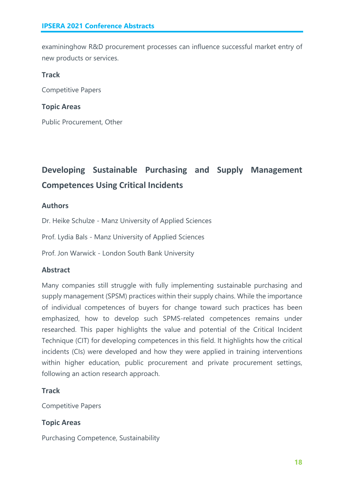examininghow R&D procurement processes can influence successful market entry of new products or services.

#### **Track**

Competitive Papers

#### **Topic Areas**

Public Procurement, Other

### **Developing Sustainable Purchasing and Supply Management Competences Using Critical Incidents**

#### **Authors**

Dr. Heike Schulze - Manz University of Applied Sciences

Prof. Lydia Bals - Manz University of Applied Sciences

Prof. Jon Warwick - London South Bank University

#### **Abstract**

Many companies still struggle with fully implementing sustainable purchasing and supply management (SPSM) practices within their supply chains. While the importance of individual competences of buyers for change toward such practices has been emphasized, how to develop such SPMS-related competences remains under researched. This paper highlights the value and potential of the Critical Incident Technique (CIT) for developing competences in this field. It highlights how the critical incidents (CIs) were developed and how they were applied in training interventions within higher education, public procurement and private procurement settings, following an action research approach.

#### **Track**

Competitive Papers

#### **Topic Areas**

Purchasing Competence, Sustainability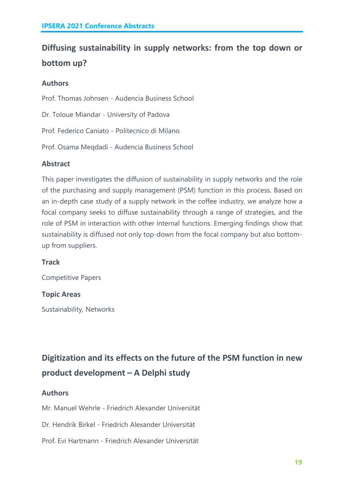### **Diffusing sustainability in supply networks: from the top down or bottom up?**

#### **Authors**

Prof. Thomas Johnsen - Audencia Business School Dr. Toloue Miandar - University of Padova Prof. Federico Caniato - Politecnico di Milano Prof. Osama Meqdadi - Audencia Business School

#### **Abstract**

This paper investigates the diffusion of sustainability in supply networks and the role of the purchasing and supply management (PSM) function in this process. Based on an in-depth case study of a supply network in the coffee industry, we analyze how a focal company seeks to diffuse sustainability through a range of strategies, and the role of PSM in interaction with other internal functions. Emerging findings show that sustainability is diffused not only top-down from the focal company but also bottomup from suppliers.

#### **Track**

Competitive Papers

#### **Topic Areas**

Sustainability, Networks

**Digitization and its effects on the future of the PSM function in new product development – A Delphi study**

#### **Authors**

Mr. Manuel Wehrle - Friedrich Alexander Universität

Dr. Hendrik Birkel - Friedrich Alexander Universität

Prof. Evi Hartmann - Friedrich Alexander Universität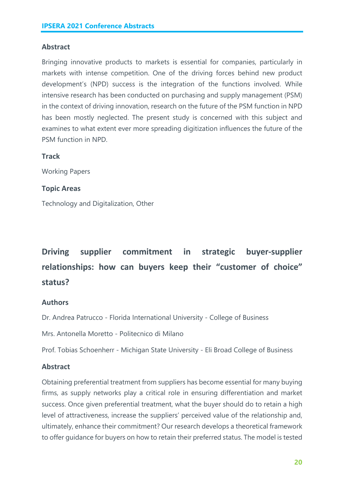#### **Abstract**

Bringing innovative products to markets is essential for companies, particularly in markets with intense competition. One of the driving forces behind new product development's (NPD) success is the integration of the functions involved. While intensive research has been conducted on purchasing and supply management (PSM) in the context of driving innovation, research on the future of the PSM function in NPD has been mostly neglected. The present study is concerned with this subject and examines to what extent ever more spreading digitization influences the future of the PSM function in NPD.

#### **Track**

Working Papers

#### **Topic Areas**

Technology and Digitalization, Other

### **Driving supplier commitment in strategic buyer-supplier relationships: how can buyers keep their "customer of choice" status?**

#### **Authors**

Dr. Andrea Patrucco - Florida International University - College of Business

Mrs. Antonella Moretto - Politecnico di Milano

Prof. Tobias Schoenherr - Michigan State University - Eli Broad College of Business

#### **Abstract**

Obtaining preferential treatment from suppliers has become essential for many buying firms, as supply networks play a critical role in ensuring differentiation and market success. Once given preferential treatment, what the buyer should do to retain a high level of attractiveness, increase the suppliers' perceived value of the relationship and, ultimately, enhance their commitment? Our research develops a theoretical framework to offer guidance for buyers on how to retain their preferred status. The model is tested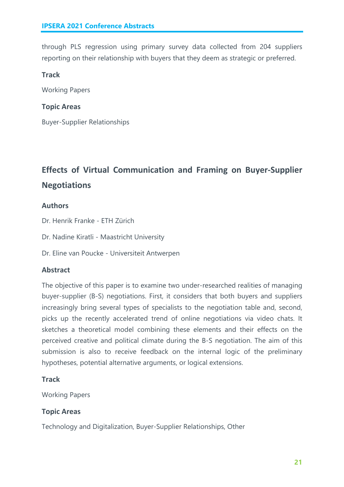through PLS regression using primary survey data collected from 204 suppliers reporting on their relationship with buyers that they deem as strategic or preferred.

#### **Track**

Working Papers

#### **Topic Areas**

Buyer-Supplier Relationships

### **Effects of Virtual Communication and Framing on Buyer-Supplier Negotiations**

#### **Authors**

Dr. Henrik Franke - ETH Zürich

Dr. Nadine Kiratli - Maastricht University

Dr. Eline van Poucke - Universiteit Antwerpen

#### **Abstract**

The objective of this paper is to examine two under-researched realities of managing buyer-supplier (B-S) negotiations. First, it considers that both buyers and suppliers increasingly bring several types of specialists to the negotiation table and, second, picks up the recently accelerated trend of online negotiations via video chats. It sketches a theoretical model combining these elements and their effects on the perceived creative and political climate during the B-S negotiation. The aim of this submission is also to receive feedback on the internal logic of the preliminary hypotheses, potential alternative arguments, or logical extensions.

#### **Track**

Working Papers

#### **Topic Areas**

Technology and Digitalization, Buyer-Supplier Relationships, Other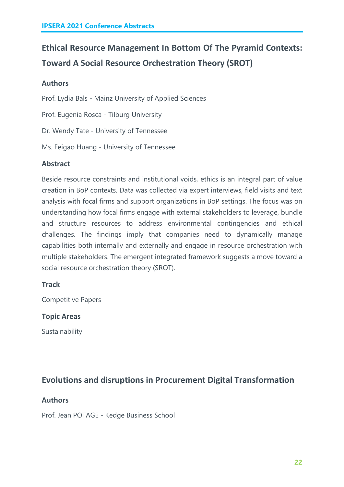### **Ethical Resource Management In Bottom Of The Pyramid Contexts: Toward A Social Resource Orchestration Theory (SROT)**

#### **Authors**

Prof. Lydia Bals - Mainz University of Applied Sciences

Prof. Eugenia Rosca - Tilburg University

Dr. Wendy Tate - University of Tennessee

Ms. Feigao Huang - University of Tennessee

#### **Abstract**

Beside resource constraints and institutional voids, ethics is an integral part of value creation in BoP contexts. Data was collected via expert interviews, field visits and text analysis with focal firms and support organizations in BoP settings. The focus was on understanding how focal firms engage with external stakeholders to leverage, bundle and structure resources to address environmental contingencies and ethical challenges. The findings imply that companies need to dynamically manage capabilities both internally and externally and engage in resource orchestration with multiple stakeholders. The emergent integrated framework suggests a move toward a social resource orchestration theory (SROT).

#### **Track**

Competitive Papers

#### **Topic Areas**

Sustainability

#### **Evolutions and disruptions in Procurement Digital Transformation**

#### **Authors**

Prof. Jean POTAGE - Kedge Business School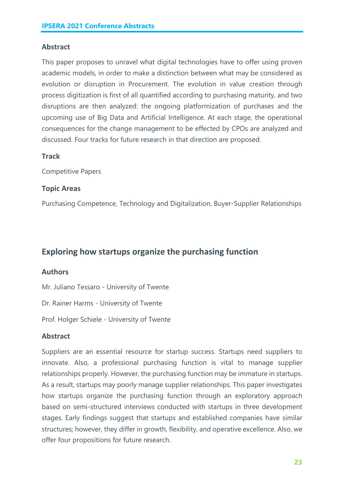#### **Abstract**

This paper proposes to unravel what digital technologies have to offer using proven academic models, in order to make a distinction between what may be considered as evolution or disruption in Procurement. The evolution in value creation through process digitization is first of all quantified according to purchasing maturity, and two disruptions are then analyzed: the ongoing platformization of purchases and the upcoming use of Big Data and Artificial Intelligence. At each stage, the operational consequences for the change management to be effected by CPOs are analyzed and discussed. Four tracks for future research in that direction are proposed.

#### **Track**

Competitive Papers

#### **Topic Areas**

Purchasing Competence, Technology and Digitalization, Buyer-Supplier Relationships

#### **Exploring how startups organize the purchasing function**

#### **Authors**

Mr. Juliano Tessaro - University of Twente

Dr. Rainer Harms - University of Twente

Prof. Holger Schiele - University of Twente

#### **Abstract**

Suppliers are an essential resource for startup success. Startups need suppliers to innovate. Also, a professional purchasing function is vital to manage supplier relationships properly. However, the purchasing function may be immature in startups. As a result, startups may poorly manage supplier relationships. This paper investigates how startups organize the purchasing function through an exploratory approach based on semi-structured interviews conducted with startups in three development stages. Early findings suggest that startups and established companies have similar structures; however, they differ in growth, flexibility, and operative excellence. Also, we offer four propositions for future research.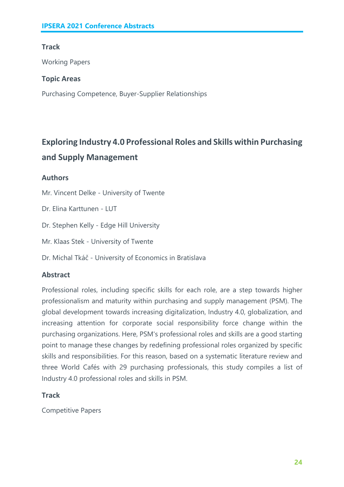#### **Track**

Working Papers

#### **Topic Areas**

Purchasing Competence, Buyer-Supplier Relationships

### **Exploring Industry 4.0 Professional Roles and Skills within Purchasing and Supply Management**

#### **Authors**

Mr. Vincent Delke - University of Twente

Dr. Elina Karttunen - LUT

Dr. Stephen Kelly - Edge Hill University

Mr. Klaas Stek - University of Twente

Dr. Michal Tkáč - University of Economics in Bratislava

#### **Abstract**

Professional roles, including specific skills for each role, are a step towards higher professionalism and maturity within purchasing and supply management (PSM). The global development towards increasing digitalization, Industry 4.0, globalization, and increasing attention for corporate social responsibility force change within the purchasing organizations. Here, PSM's professional roles and skills are a good starting point to manage these changes by redefining professional roles organized by specific skills and responsibilities. For this reason, based on a systematic literature review and three World Cafés with 29 purchasing professionals, this study compiles a list of Industry 4.0 professional roles and skills in PSM.

#### **Track**

Competitive Papers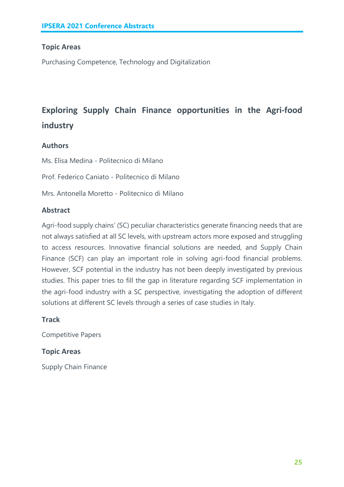#### **Topic Areas**

Purchasing Competence, Technology and Digitalization

### **Exploring Supply Chain Finance opportunities in the Agri-food industry**

#### **Authors**

Ms. Elisa Medina - Politecnico di Milano

Prof. Federico Caniato - Politecnico di Milano

Mrs. Antonella Moretto - Politecnico di Milano

#### **Abstract**

Agri-food supply chains' (SC) peculiar characteristics generate financing needs that are not always satisfied at all SC levels, with upstream actors more exposed and struggling to access resources. Innovative financial solutions are needed, and Supply Chain Finance (SCF) can play an important role in solving agri-food financial problems. However, SCF potential in the industry has not been deeply investigated by previous studies. This paper tries to fill the gap in literature regarding SCF implementation in the agri-food industry with a SC perspective, investigating the adoption of different solutions at different SC levels through a series of case studies in Italy.

#### **Track**

Competitive Papers

#### **Topic Areas**

Supply Chain Finance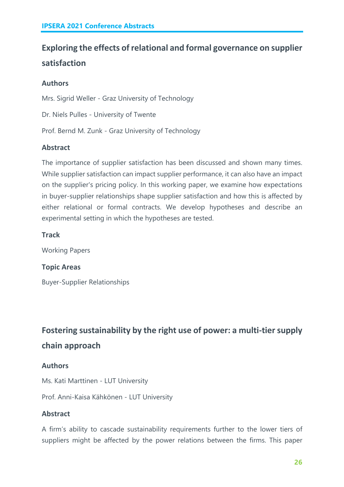### **Exploring the effects of relational and formal governance on supplier satisfaction**

#### **Authors**

Mrs. Sigrid Weller - Graz University of Technology

Dr. Niels Pulles - University of Twente

Prof. Bernd M. Zunk - Graz University of Technology

#### **Abstract**

The importance of supplier satisfaction has been discussed and shown many times. While supplier satisfaction can impact supplier performance, it can also have an impact on the supplier's pricing policy. In this working paper, we examine how expectations in buyer-supplier relationships shape supplier satisfaction and how this is affected by either relational or formal contracts. We develop hypotheses and describe an experimental setting in which the hypotheses are tested.

#### **Track**

Working Papers

#### **Topic Areas**

Buyer-Supplier Relationships

### **Fostering sustainability by the right use of power: a multi-tier supply chain approach**

#### **Authors**

Ms. Kati Marttinen - LUT University

Prof. Anni-Kaisa Kähkönen - LUT University

#### **Abstract**

A firm's ability to cascade sustainability requirements further to the lower tiers of suppliers might be affected by the power relations between the firms. This paper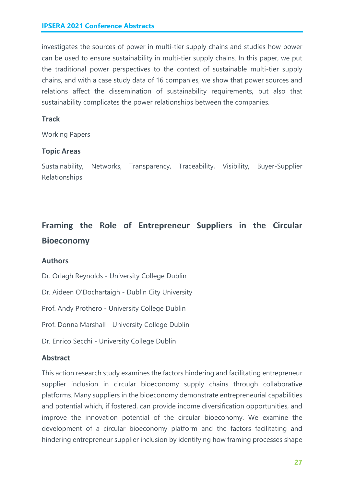investigates the sources of power in multi-tier supply chains and studies how power can be used to ensure sustainability in multi-tier supply chains. In this paper, we put the traditional power perspectives to the context of sustainable multi-tier supply chains, and with a case study data of 16 companies, we show that power sources and relations affect the dissemination of sustainability requirements, but also that sustainability complicates the power relationships between the companies.

#### **Track**

Working Papers

#### **Topic Areas**

Sustainability, Networks, Transparency, Traceability, Visibility, Buyer-Supplier Relationships

### **Framing the Role of Entrepreneur Suppliers in the Circular Bioeconomy**

#### **Authors**

Dr. Orlagh Reynolds - University College Dublin

Dr. Aideen O'Dochartaigh - Dublin City University

Prof. Andy Prothero - University College Dublin

Prof. Donna Marshall - University College Dublin

Dr. Enrico Secchi - University College Dublin

#### **Abstract**

This action research study examines the factors hindering and facilitating entrepreneur supplier inclusion in circular bioeconomy supply chains through collaborative platforms. Many suppliers in the bioeconomy demonstrate entrepreneurial capabilities and potential which, if fostered, can provide income diversification opportunities, and improve the innovation potential of the circular bioeconomy. We examine the development of a circular bioeconomy platform and the factors facilitating and hindering entrepreneur supplier inclusion by identifying how framing processes shape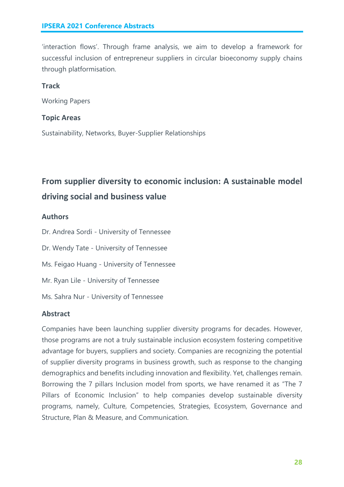'interaction flows'. Through frame analysis, we aim to develop a framework for successful inclusion of entrepreneur suppliers in circular bioeconomy supply chains through platformisation.

#### **Track**

Working Papers

#### **Topic Areas**

Sustainability, Networks, Buyer-Supplier Relationships

### **From supplier diversity to economic inclusion: A sustainable model driving social and business value**

#### **Authors**

Dr. Andrea Sordi - University of Tennessee

Dr. Wendy Tate - University of Tennessee

Ms. Feigao Huang - University of Tennessee

Mr. Ryan Lile - University of Tennessee

Ms. Sahra Nur - University of Tennessee

#### **Abstract**

Companies have been launching supplier diversity programs for decades. However, those programs are not a truly sustainable inclusion ecosystem fostering competitive advantage for buyers, suppliers and society. Companies are recognizing the potential of supplier diversity programs in business growth, such as response to the changing demographics and benefits including innovation and flexibility. Yet, challenges remain. Borrowing the 7 pillars Inclusion model from sports, we have renamed it as "The 7 Pillars of Economic Inclusion" to help companies develop sustainable diversity programs, namely, Culture, Competencies, Strategies, Ecosystem, Governance and Structure, Plan & Measure, and Communication.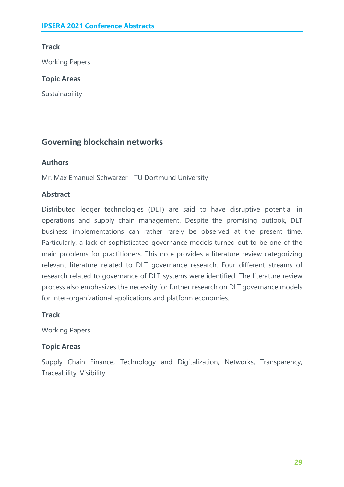#### **Track**

Working Papers

#### **Topic Areas**

Sustainability

#### **Governing blockchain networks**

#### **Authors**

Mr. Max Emanuel Schwarzer - TU Dortmund University

#### **Abstract**

Distributed ledger technologies (DLT) are said to have disruptive potential in operations and supply chain management. Despite the promising outlook, DLT business implementations can rather rarely be observed at the present time. Particularly, a lack of sophisticated governance models turned out to be one of the main problems for practitioners. This note provides a literature review categorizing relevant literature related to DLT governance research. Four different streams of research related to governance of DLT systems were identified. The literature review process also emphasizes the necessity for further research on DLT governance models for inter-organizational applications and platform economies.

#### **Track**

Working Papers

#### **Topic Areas**

Supply Chain Finance, Technology and Digitalization, Networks, Transparency, Traceability, Visibility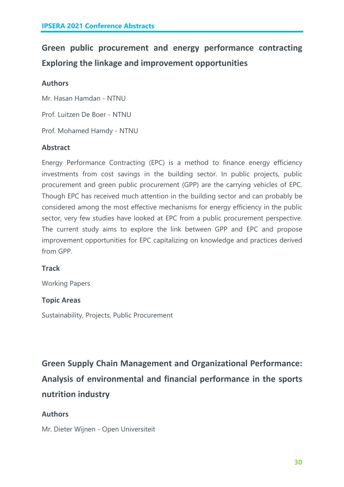### **Green public procurement and energy performance contracting Exploring the linkage and improvement opportunities**

#### **Authors**

Mr. Hasan Hamdan - NTNU

Prof. Luitzen De Boer - NTNU

Prof. Mohamed Hamdy - NTNU

#### **Abstract**

Energy Performance Contracting (EPC) is a method to finance energy efficiency investments from cost savings in the building sector. In public projects, public procurement and green public procurement (GPP) are the carrying vehicles of EPC. Though EPC has received much attention in the building sector and can probably be considered among the most effective mechanisms for energy efficiency in the public sector, very few studies have looked at EPC from a public procurement perspective. The current study aims to explore the link between GPP and EPC and propose improvement opportunities for EPC capitalizing on knowledge and practices derived from GPP.

#### **Track**

Working Papers

#### **Topic Areas**

Sustainability, Projects, Public Procurement

**Green Supply Chain Management and Organizational Performance: Analysis of environmental and financial performance in the sports nutrition industry**

#### **Authors**

Mr. Dieter Wijnen - Open Universiteit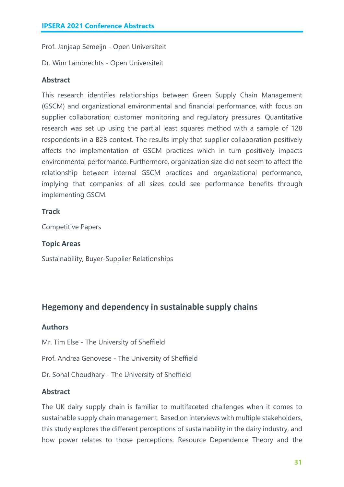Prof. Janjaap Semeijn - Open Universiteit

Dr. Wim Lambrechts - Open Universiteit

#### **Abstract**

This research identifies relationships between Green Supply Chain Management (GSCM) and organizational environmental and financial performance, with focus on supplier collaboration; customer monitoring and regulatory pressures. Quantitative research was set up using the partial least squares method with a sample of 128 respondents in a B2B context. The results imply that supplier collaboration positively affects the implementation of GSCM practices which in turn positively impacts environmental performance. Furthermore, organization size did not seem to affect the relationship between internal GSCM practices and organizational performance, implying that companies of all sizes could see performance benefits through implementing GSCM.

#### **Track**

Competitive Papers

#### **Topic Areas**

Sustainability, Buyer-Supplier Relationships

#### **Hegemony and dependency in sustainable supply chains**

#### **Authors**

Mr. Tim Else - The University of Sheffield

Prof. Andrea Genovese - The University of Sheffield

Dr. Sonal Choudhary - The University of Sheffield

#### **Abstract**

The UK dairy supply chain is familiar to multifaceted challenges when it comes to sustainable supply chain management. Based on interviews with multiple stakeholders, this study explores the different perceptions of sustainability in the dairy industry, and how power relates to those perceptions. Resource Dependence Theory and the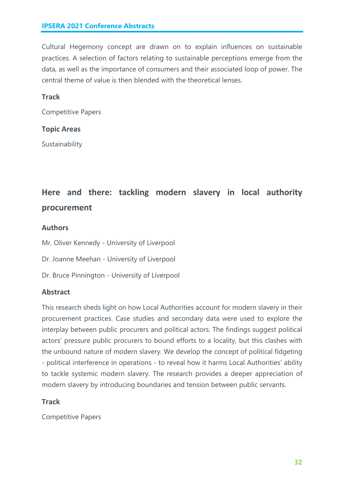Cultural Hegemony concept are drawn on to explain influences on sustainable practices. A selection of factors relating to sustainable perceptions emerge from the data, as well as the importance of consumers and their associated loop of power. The central theme of value is then blended with the theoretical lenses.

#### **Track**

Competitive Papers

#### **Topic Areas**

Sustainability

### **Here and there: tackling modern slavery in local authority procurement**

#### **Authors**

- Mr. Oliver Kennedy University of Liverpool
- Dr. Joanne Meehan University of Liverpool
- Dr. Bruce Pinnington University of Liverpool

#### **Abstract**

This research sheds light on how Local Authorities account for modern slavery in their procurement practices. Case studies and secondary data were used to explore the interplay between public procurers and political actors. The findings suggest political actors' pressure public procurers to bound efforts to a locality, but this clashes with the unbound nature of modern slavery. We develop the concept of political fidgeting - political interference in operations - to reveal how it harms Local Authorities' ability to tackle systemic modern slavery. The research provides a deeper appreciation of modern slavery by introducing boundaries and tension between public servants.

#### **Track**

Competitive Papers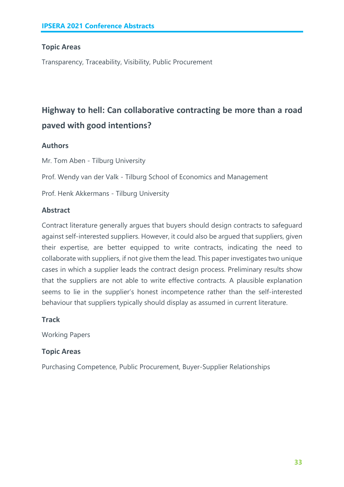#### **Topic Areas**

Transparency, Traceability, Visibility, Public Procurement

### **Highway to hell: Can collaborative contracting be more than a road paved with good intentions?**

#### **Authors**

Mr. Tom Aben - Tilburg University

Prof. Wendy van der Valk - Tilburg School of Economics and Management

Prof. Henk Akkermans - Tilburg University

#### **Abstract**

Contract literature generally argues that buyers should design contracts to safeguard against self-interested suppliers. However, it could also be argued that suppliers, given their expertise, are better equipped to write contracts, indicating the need to collaborate with suppliers, if not give them the lead. This paper investigates two unique cases in which a supplier leads the contract design process. Preliminary results show that the suppliers are not able to write effective contracts. A plausible explanation seems to lie in the supplier's honest incompetence rather than the self-interested behaviour that suppliers typically should display as assumed in current literature.

#### **Track**

Working Papers

#### **Topic Areas**

Purchasing Competence, Public Procurement, Buyer-Supplier Relationships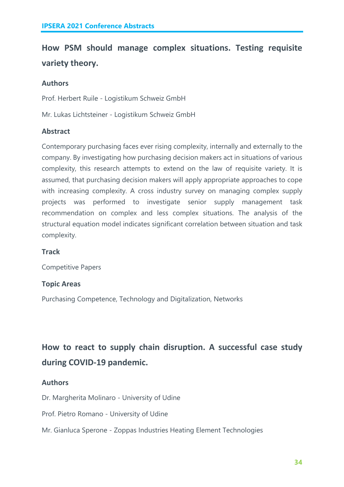### **How PSM should manage complex situations. Testing requisite variety theory.**

#### **Authors**

Prof. Herbert Ruile - Logistikum Schweiz GmbH

Mr. Lukas Lichtsteiner - Logistikum Schweiz GmbH

#### **Abstract**

Contemporary purchasing faces ever rising complexity, internally and externally to the company. By investigating how purchasing decision makers act in situations of various complexity, this research attempts to extend on the law of requisite variety. It is assumed, that purchasing decision makers will apply appropriate approaches to cope with increasing complexity. A cross industry survey on managing complex supply projects was performed to investigate senior supply management task recommendation on complex and less complex situations. The analysis of the structural equation model indicates significant correlation between situation and task complexity.

#### **Track**

Competitive Papers

#### **Topic Areas**

Purchasing Competence, Technology and Digitalization, Networks

### **How to react to supply chain disruption. A successful case study during COVID-19 pandemic.**

#### **Authors**

Dr. Margherita Molinaro - University of Udine

Prof. Pietro Romano - University of Udine

Mr. Gianluca Sperone - Zoppas Industries Heating Element Technologies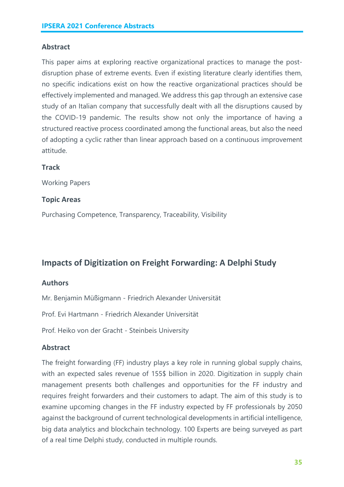#### **Abstract**

This paper aims at exploring reactive organizational practices to manage the postdisruption phase of extreme events. Even if existing literature clearly identifies them, no specific indications exist on how the reactive organizational practices should be effectively implemented and managed. We address this gap through an extensive case study of an Italian company that successfully dealt with all the disruptions caused by the COVID-19 pandemic. The results show not only the importance of having a structured reactive process coordinated among the functional areas, but also the need of adopting a cyclic rather than linear approach based on a continuous improvement attitude.

#### **Track**

Working Papers

#### **Topic Areas**

Purchasing Competence, Transparency, Traceability, Visibility

#### **Impacts of Digitization on Freight Forwarding: A Delphi Study**

#### **Authors**

Mr. Benjamin Müßigmann - Friedrich Alexander Universität

Prof. Evi Hartmann - Friedrich Alexander Universität

Prof. Heiko von der Gracht - Steinbeis University

#### **Abstract**

The freight forwarding (FF) industry plays a key role in running global supply chains, with an expected sales revenue of 155\$ billion in 2020. Digitization in supply chain management presents both challenges and opportunities for the FF industry and requires freight forwarders and their customers to adapt. The aim of this study is to examine upcoming changes in the FF industry expected by FF professionals by 2050 against the background of current technological developments in artificial intelligence, big data analytics and blockchain technology. 100 Experts are being surveyed as part of a real time Delphi study, conducted in multiple rounds.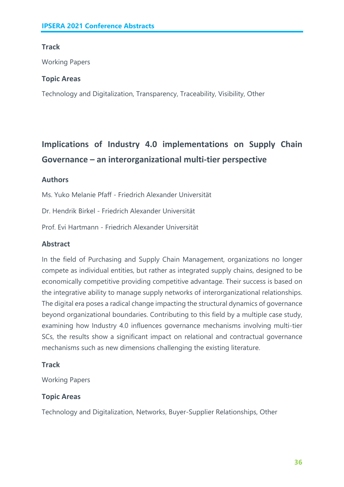# **Track**

Working Papers

### **Topic Areas**

Technology and Digitalization, Transparency, Traceability, Visibility, Other

# **Implications of Industry 4.0 implementations on Supply Chain Governance – an interorganizational multi-tier perspective**

### **Authors**

Ms. Yuko Melanie Pfaff - Friedrich Alexander Universität

Dr. Hendrik Birkel - Friedrich Alexander Universität

Prof. Evi Hartmann - Friedrich Alexander Universität

# **Abstract**

In the field of Purchasing and Supply Chain Management, organizations no longer compete as individual entities, but rather as integrated supply chains, designed to be economically competitive providing competitive advantage. Their success is based on the integrative ability to manage supply networks of interorganizational relationships. The digital era poses a radical change impacting the structural dynamics of governance beyond organizational boundaries. Contributing to this field by a multiple case study, examining how Industry 4.0 influences governance mechanisms involving multi-tier SCs, the results show a significant impact on relational and contractual governance mechanisms such as new dimensions challenging the existing literature.

# **Track**

Working Papers

# **Topic Areas**

Technology and Digitalization, Networks, Buyer-Supplier Relationships, Other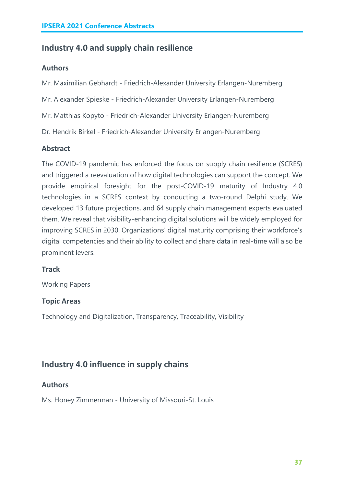# **Industry 4.0 and supply chain resilience**

#### **Authors**

Mr. Maximilian Gebhardt - Friedrich-Alexander University Erlangen-Nuremberg

Mr. Alexander Spieske - Friedrich-Alexander University Erlangen-Nuremberg

Mr. Matthias Kopyto - Friedrich-Alexander University Erlangen-Nuremberg

Dr. Hendrik Birkel - Friedrich-Alexander University Erlangen-Nuremberg

### **Abstract**

The COVID-19 pandemic has enforced the focus on supply chain resilience (SCRES) and triggered a reevaluation of how digital technologies can support the concept. We provide empirical foresight for the post-COVID-19 maturity of Industry 4.0 technologies in a SCRES context by conducting a two-round Delphi study. We developed 13 future projections, and 64 supply chain management experts evaluated them. We reveal that visibility-enhancing digital solutions will be widely employed for improving SCRES in 2030. Organizations' digital maturity comprising their workforce's digital competencies and their ability to collect and share data in real-time will also be prominent levers.

#### **Track**

Working Papers

#### **Topic Areas**

Technology and Digitalization, Transparency, Traceability, Visibility

# **Industry 4.0 influence in supply chains**

# **Authors**

Ms. Honey Zimmerman - University of Missouri-St. Louis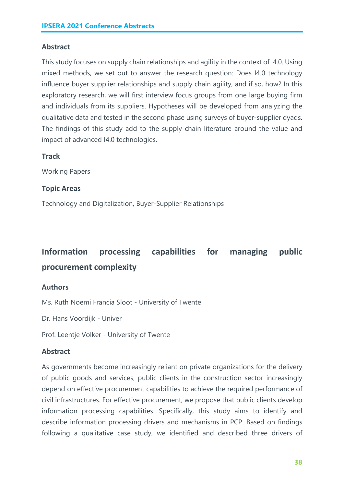### **Abstract**

This study focuses on supply chain relationships and agility in the context of I4.0. Using mixed methods, we set out to answer the research question: Does I4.0 technology influence buyer supplier relationships and supply chain agility, and if so, how? In this exploratory research, we will first interview focus groups from one large buying firm and individuals from its suppliers. Hypotheses will be developed from analyzing the qualitative data and tested in the second phase using surveys of buyer-supplier dyads. The findings of this study add to the supply chain literature around the value and impact of advanced I4.0 technologies.

#### **Track**

Working Papers

#### **Topic Areas**

Technology and Digitalization, Buyer-Supplier Relationships

# **Information processing capabilities for managing public procurement complexity**

#### **Authors**

Ms. Ruth Noemi Francia Sloot - University of Twente

Dr. Hans Voordijk - Univer

Prof. Leentje Volker - University of Twente

#### **Abstract**

As governments become increasingly reliant on private organizations for the delivery of public goods and services, public clients in the construction sector increasingly depend on effective procurement capabilities to achieve the required performance of civil infrastructures. For effective procurement, we propose that public clients develop information processing capabilities. Specifically, this study aims to identify and describe information processing drivers and mechanisms in PCP. Based on findings following a qualitative case study, we identified and described three drivers of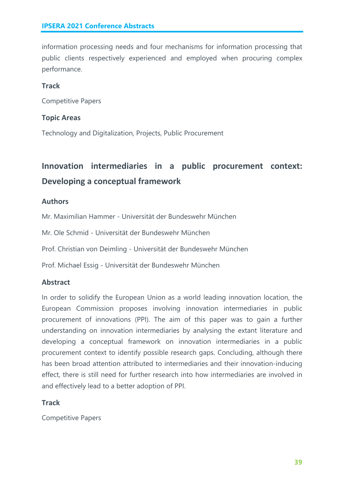information processing needs and four mechanisms for information processing that public clients respectively experienced and employed when procuring complex performance.

# **Track**

Competitive Papers

# **Topic Areas**

Technology and Digitalization, Projects, Public Procurement

# **Innovation intermediaries in a public procurement context: Developing a conceptual framework**

# **Authors**

Mr. Maximilian Hammer - Universität der Bundeswehr München

Mr. Ole Schmid - Universität der Bundeswehr München

Prof. Christian von Deimling - Universität der Bundeswehr München

Prof. Michael Essig - Universität der Bundeswehr München

# **Abstract**

In order to solidify the European Union as a world leading innovation location, the European Commission proposes involving innovation intermediaries in public procurement of innovations (PPI). The aim of this paper was to gain a further understanding on innovation intermediaries by analysing the extant literature and developing a conceptual framework on innovation intermediaries in a public procurement context to identify possible research gaps. Concluding, although there has been broad attention attributed to intermediaries and their innovation-inducing effect, there is still need for further research into how intermediaries are involved in and effectively lead to a better adoption of PPI.

# **Track**

Competitive Papers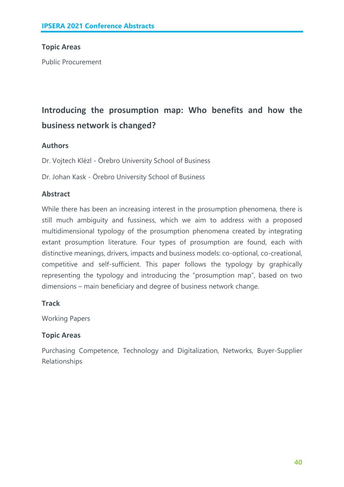# **Topic Areas**

Public Procurement

# **Introducing the prosumption map: Who benefits and how the business network is changed?**

# **Authors**

Dr. Vojtech Klézl - Örebro University School of Business

Dr. Johan Kask - Örebro University School of Business

# **Abstract**

While there has been an increasing interest in the prosumption phenomena, there is still much ambiguity and fussiness, which we aim to address with a proposed multidimensional typology of the prosumption phenomena created by integrating extant prosumption literature. Four types of prosumption are found, each with distinctive meanings, drivers, impacts and business models: co-optional, co-creational, competitive and self-sufficient. This paper follows the typology by graphically representing the typology and introducing the "prosumption map", based on two dimensions – main beneficiary and degree of business network change.

#### **Track**

Working Papers

# **Topic Areas**

Purchasing Competence, Technology and Digitalization, Networks, Buyer-Supplier Relationships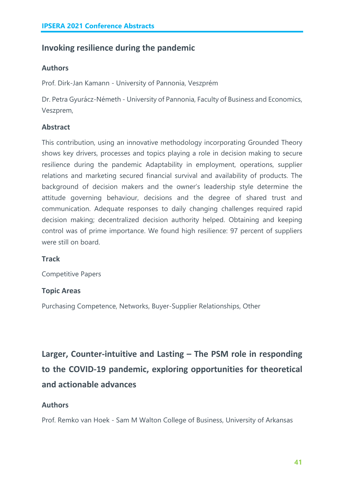# **Invoking resilience during the pandemic**

#### **Authors**

Prof. Dirk-Jan Kamann - University of Pannonia, Veszprém

Dr. Petra Gyurácz-Németh - University of Pannonia, Faculty of Business and Economics, Veszprem,

# **Abstract**

This contribution, using an innovative methodology incorporating Grounded Theory shows key drivers, processes and topics playing a role in decision making to secure resilience during the pandemic Adaptability in employment, operations, supplier relations and marketing secured financial survival and availability of products. The background of decision makers and the owner's leadership style determine the attitude governing behaviour, decisions and the degree of shared trust and communication. Adequate responses to daily changing challenges required rapid decision making; decentralized decision authority helped. Obtaining and keeping control was of prime importance. We found high resilience: 97 percent of suppliers were still on board.

#### **Track**

Competitive Papers

#### **Topic Areas**

Purchasing Competence, Networks, Buyer-Supplier Relationships, Other

**Larger, Counter-intuitive and Lasting – The PSM role in responding to the COVID-19 pandemic, exploring opportunities for theoretical and actionable advances**

# **Authors**

Prof. Remko van Hoek - Sam M Walton College of Business, University of Arkansas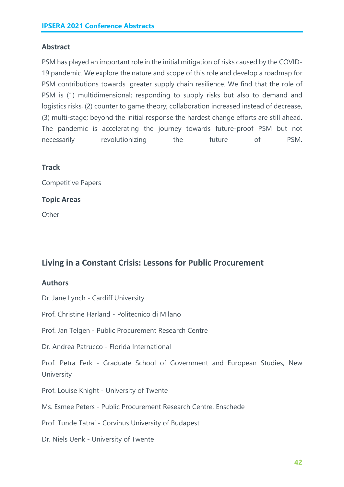# **Abstract**

PSM has played an important role in the initial mitigation of risks caused by the COVID-19 pandemic. We explore the nature and scope of this role and develop a roadmap for PSM contributions towards greater supply chain resilience. We find that the role of PSM is (1) multidimensional; responding to supply risks but also to demand and logistics risks, (2) counter to game theory; collaboration increased instead of decrease, (3) multi-stage; beyond the initial response the hardest change efforts are still ahead. The pandemic is accelerating the journey towards future-proof PSM but not necessarily revolutionizing the future of PSM.

#### **Track**

Competitive Papers

#### **Topic Areas**

**Other** 

# **Living in a Constant Crisis: Lessons for Public Procurement**

#### **Authors**

Dr. Jane Lynch - Cardiff University

Prof. Christine Harland - Politecnico di Milano

Prof. Jan Telgen - Public Procurement Research Centre

Dr. Andrea Patrucco - Florida International

Prof. Petra Ferk - Graduate School of Government and European Studies, New **University** 

Prof. Louise Knight - University of Twente

Ms. Esmee Peters - Public Procurement Research Centre, Enschede

Prof. Tunde Tatrai - Corvinus University of Budapest

Dr. Niels Uenk - University of Twente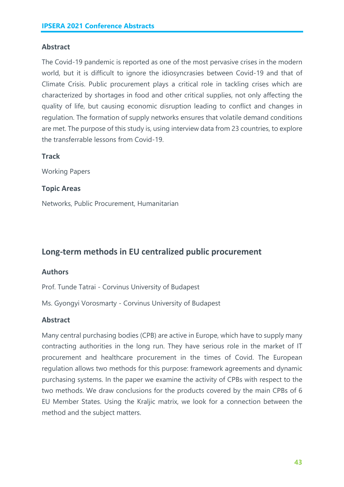### **Abstract**

The Covid-19 pandemic is reported as one of the most pervasive crises in the modern world, but it is difficult to ignore the idiosyncrasies between Covid-19 and that of Climate Crisis. Public procurement plays a critical role in tackling crises which are characterized by shortages in food and other critical supplies, not only affecting the quality of life, but causing economic disruption leading to conflict and changes in regulation. The formation of supply networks ensures that volatile demand conditions are met. The purpose of this study is, using interview data from 23 countries, to explore the transferrable lessons from Covid-19.

### **Track**

Working Papers

### **Topic Areas**

Networks, Public Procurement, Humanitarian

# **Long-term methods in EU centralized public procurement**

#### **Authors**

Prof. Tunde Tatrai - Corvinus University of Budapest

Ms. Gyongyi Vorosmarty - Corvinus University of Budapest

# **Abstract**

Many central purchasing bodies (CPB) are active in Europe, which have to supply many contracting authorities in the long run. They have serious role in the market of IT procurement and healthcare procurement in the times of Covid. The European regulation allows two methods for this purpose: framework agreements and dynamic purchasing systems. In the paper we examine the activity of CPBs with respect to the two methods. We draw conclusions for the products covered by the main CPBs of 6 EU Member States. Using the Kraljic matrix, we look for a connection between the method and the subject matters.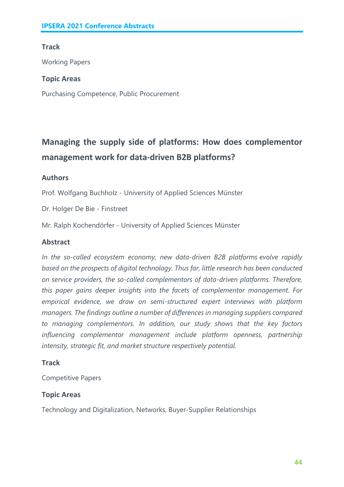# **Track**

Working Papers

### **Topic Areas**

Purchasing Competence, Public Procurement

# **Managing the supply side of platforms: How does complementor management work for data-driven B2B platforms?**

# **Authors**

Prof. Wolfgang Buchholz - University of Applied Sciences Münster

Dr. Holger De Bie - Finstreet

Mr. Ralph Kochendörfer - University of Applied Sciences Münster

### **Abstract**

*In the so-called ecosystem economy, new data-driven B2B platforms evolve rapidly based on the prospects of digital technology. Thus far, little research has been conducted on service providers, the so-called complementors of data-driven platforms. Therefore, this paper gains deeper insights into the facets of complementor management. For empirical evidence, we draw on semi-structured expert interviews with platform managers. The findings outline a number of differences in managing suppliers compared to managing complementors. In addition, our study shows that the key factors influencing complementor management include platform openness, partnership intensity, strategic fit, and market structure respectively potential.*

# **Track**

Competitive Papers

# **Topic Areas**

Technology and Digitalization, Networks, Buyer-Supplier Relationships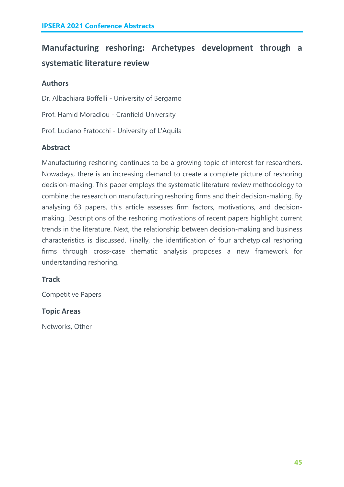# **Manufacturing reshoring: Archetypes development through a systematic literature review**

# **Authors**

Dr. Albachiara Boffelli - University of Bergamo Prof. Hamid Moradlou - Cranfield University Prof. Luciano Fratocchi - University of L'Aquila

# **Abstract**

Manufacturing reshoring continues to be a growing topic of interest for researchers. Nowadays, there is an increasing demand to create a complete picture of reshoring decision-making. This paper employs the systematic literature review methodology to combine the research on manufacturing reshoring firms and their decision-making. By analysing 63 papers, this article assesses firm factors, motivations, and decisionmaking. Descriptions of the reshoring motivations of recent papers highlight current trends in the literature. Next, the relationship between decision-making and business characteristics is discussed. Finally, the identification of four archetypical reshoring firms through cross-case thematic analysis proposes a new framework for understanding reshoring.

# **Track**

Competitive Papers

# **Topic Areas**

Networks, Other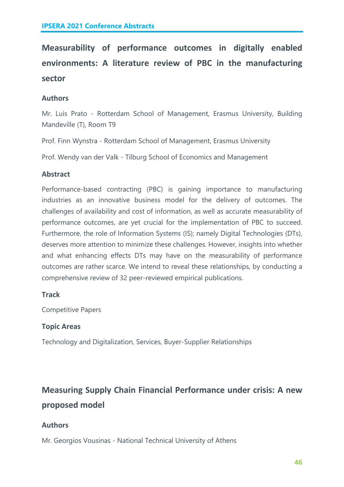# **Measurability of performance outcomes in digitally enabled environments: A literature review of PBC in the manufacturing sector**

# **Authors**

Mr. Luis Prato - Rotterdam School of Management, Erasmus University, Building Mandeville (T), Room T9

Prof. Finn Wynstra - Rotterdam School of Management, Erasmus University

Prof. Wendy van der Valk - Tilburg School of Economics and Management

# **Abstract**

Performance-based contracting (PBC) is gaining importance to manufacturing industries as an innovative business model for the delivery of outcomes. The challenges of availability and cost of information, as well as accurate measurability of performance outcomes, are yet crucial for the implementation of PBC to succeed. Furthermore, the role of Information Systems (IS); namely Digital Technologies (DTs), deserves more attention to minimize these challenges. However, insights into whether and what enhancing effects DTs may have on the measurability of performance outcomes are rather scarce. We intend to reveal these relationships, by conducting a comprehensive review of 32 peer-reviewed empirical publications.

# **Track**

Competitive Papers

# **Topic Areas**

Technology and Digitalization, Services, Buyer-Supplier Relationships

# **Measuring Supply Chain Financial Performance under crisis: A new proposed model**

# **Authors**

Mr. Georgios Vousinas - National Technical University of Athens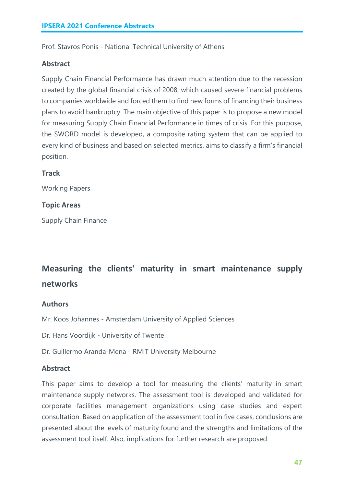Prof. Stavros Ponis - National Technical University of Athens

#### **Abstract**

Supply Chain Financial Performance has drawn much attention due to the recession created by the global financial crisis of 2008, which caused severe financial problems to companies worldwide and forced them to find new forms of financing their business plans to avoid bankruptcy. The main objective of this paper is to propose a new model for measuring Supply Chain Financial Performance in times of crisis. For this purpose, the SWORD model is developed, a composite rating system that can be applied to every kind of business and based on selected metrics, aims to classify a firm's financial position.

#### **Track**

Working Papers

#### **Topic Areas**

Supply Chain Finance

# **Measuring the clients' maturity in smart maintenance supply networks**

#### **Authors**

Mr. Koos Johannes - Amsterdam University of Applied Sciences

Dr. Hans Voordijk - University of Twente

Dr. Guillermo Aranda-Mena - RMIT University Melbourne

#### **Abstract**

This paper aims to develop a tool for measuring the clients' maturity in smart maintenance supply networks. The assessment tool is developed and validated for corporate facilities management organizations using case studies and expert consultation. Based on application of the assessment tool in five cases, conclusions are presented about the levels of maturity found and the strengths and limitations of the assessment tool itself. Also, implications for further research are proposed.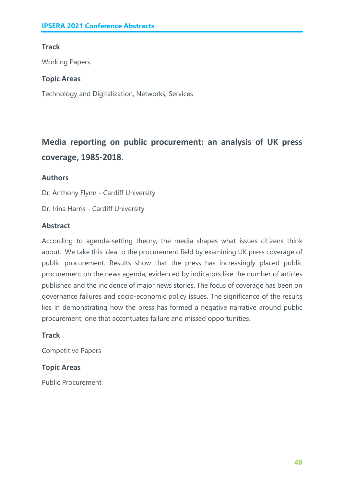# **Track**

Working Papers

### **Topic Areas**

Technology and Digitalization, Networks, Services

# **Media reporting on public procurement: an analysis of UK press coverage, 1985-2018.**

# **Authors**

Dr. Anthony Flynn - Cardiff University

Dr. Irina Harris - Cardiff University

### **Abstract**

According to agenda-setting theory, the media shapes what issues citizens think about. We take this idea to the procurement field by examining UK press coverage of public procurement. Results show that the press has increasingly placed public procurement on the news agenda, evidenced by indicators like the number of articles published and the incidence of major news stories. The focus of coverage has been on governance failures and socio-economic policy issues. The significance of the results lies in demonstrating how the press has formed a negative narrative around public procurement; one that accentuates failure and missed opportunities.

#### **Track**

Competitive Papers

# **Topic Areas**

Public Procurement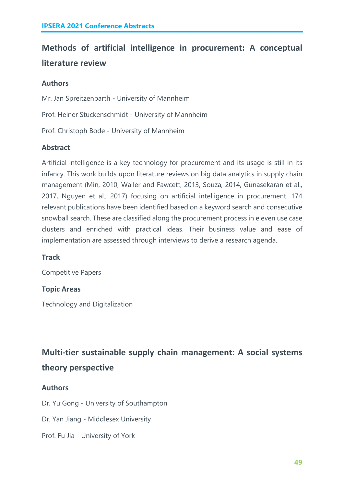# **Methods of artificial intelligence in procurement: A conceptual literature review**

# **Authors**

Mr. Jan Spreitzenbarth - University of Mannheim

Prof. Heiner Stuckenschmidt - University of Mannheim

Prof. Christoph Bode - University of Mannheim

# **Abstract**

Artificial intelligence is a key technology for procurement and its usage is still in its infancy. This work builds upon literature reviews on big data analytics in supply chain management (Min, 2010, Waller and Fawcett, 2013, Souza, 2014, Gunasekaran et al., 2017, Nguyen et al., 2017) focusing on artificial intelligence in procurement. 174 relevant publications have been identified based on a keyword search and consecutive snowball search. These are classified along the procurement process in eleven use case clusters and enriched with practical ideas. Their business value and ease of implementation are assessed through interviews to derive a research agenda.

# **Track**

Competitive Papers

# **Topic Areas**

Technology and Digitalization

**Multi-tier sustainable supply chain management: A social systems theory perspective**

#### **Authors**

Dr. Yu Gong - University of Southampton

Dr. Yan Jiang - Middlesex University

Prof. Fu Jia - University of York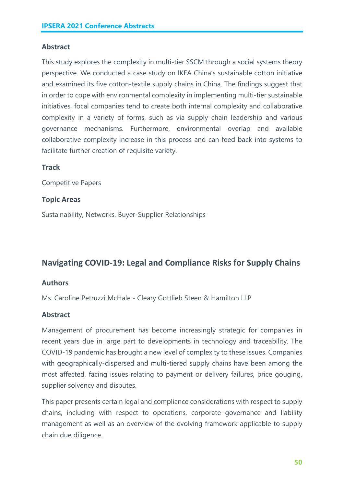### **Abstract**

This study explores the complexity in multi-tier SSCM through a social systems theory perspective. We conducted a case study on IKEA China's sustainable cotton initiative and examined its five cotton-textile supply chains in China. The findings suggest that in order to cope with environmental complexity in implementing multi-tier sustainable initiatives, focal companies tend to create both internal complexity and collaborative complexity in a variety of forms, such as via supply chain leadership and various governance mechanisms. Furthermore, environmental overlap and available collaborative complexity increase in this process and can feed back into systems to facilitate further creation of requisite variety.

#### **Track**

Competitive Papers

#### **Topic Areas**

Sustainability, Networks, Buyer-Supplier Relationships

# **Navigating COVID-19: Legal and Compliance Risks for Supply Chains**

#### **Authors**

Ms. Caroline Petruzzi McHale - Cleary Gottlieb Steen & Hamilton LLP

#### **Abstract**

Management of procurement has become increasingly strategic for companies in recent years due in large part to developments in technology and traceability. The COVID-19 pandemic has brought a new level of complexity to these issues. Companies with geographically-dispersed and multi-tiered supply chains have been among the most affected, facing issues relating to payment or delivery failures, price gouging, supplier solvency and disputes.

This paper presents certain legal and compliance considerations with respect to supply chains, including with respect to operations, corporate governance and liability management as well as an overview of the evolving framework applicable to supply chain due diligence.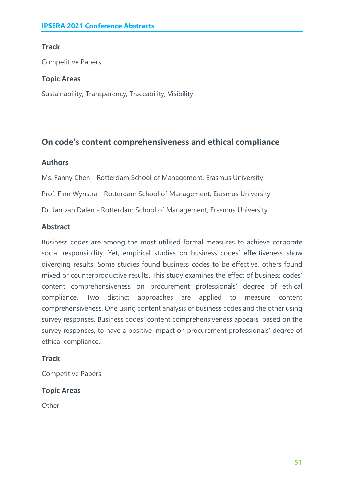# **Track**

Competitive Papers

### **Topic Areas**

Sustainability, Transparency, Traceability, Visibility

# **On code's content comprehensiveness and ethical compliance**

# **Authors**

Ms. Fanny Chen - Rotterdam School of Management, Erasmus University

Prof. Finn Wynstra - Rotterdam School of Management, Erasmus University

Dr. Jan van Dalen - Rotterdam School of Management, Erasmus University

# **Abstract**

Business codes are among the most utilised formal measures to achieve corporate social responsibility. Yet, empirical studies on business codes' effectiveness show diverging results. Some studies found business codes to be effective, others found mixed or counterproductive results. This study examines the effect of business codes' content comprehensiveness on procurement professionals' degree of ethical compliance. Two distinct approaches are applied to measure content comprehensiveness. One using content analysis of business codes and the other using survey responses. Business codes' content comprehensiveness appears, based on the survey responses, to have a positive impact on procurement professionals' degree of ethical compliance.

# **Track**

Competitive Papers

# **Topic Areas**

**Other**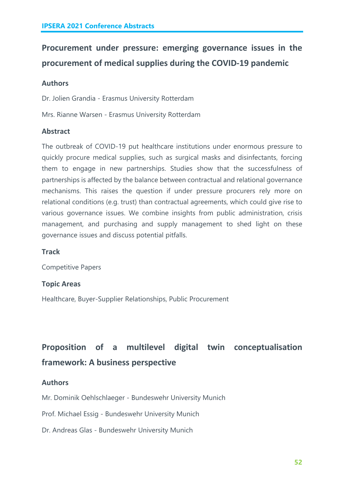# **Procurement under pressure: emerging governance issues in the procurement of medical supplies during the COVID-19 pandemic**

### **Authors**

Dr. Jolien Grandia - Erasmus University Rotterdam

Mrs. Rianne Warsen - Erasmus University Rotterdam

#### **Abstract**

The outbreak of COVID-19 put healthcare institutions under enormous pressure to quickly procure medical supplies, such as surgical masks and disinfectants, forcing them to engage in new partnerships. Studies show that the successfulness of partnerships is affected by the balance between contractual and relational governance mechanisms. This raises the question if under pressure procurers rely more on relational conditions (e.g. trust) than contractual agreements, which could give rise to various governance issues. We combine insights from public administration, crisis management, and purchasing and supply management to shed light on these governance issues and discuss potential pitfalls.

#### **Track**

Competitive Papers

#### **Topic Areas**

Healthcare, Buyer-Supplier Relationships, Public Procurement

# **Proposition of a multilevel digital twin conceptualisation framework: A business perspective**

#### **Authors**

Mr. Dominik Oehlschlaeger - Bundeswehr University Munich

Prof. Michael Essig - Bundeswehr University Munich

Dr. Andreas Glas - Bundeswehr University Munich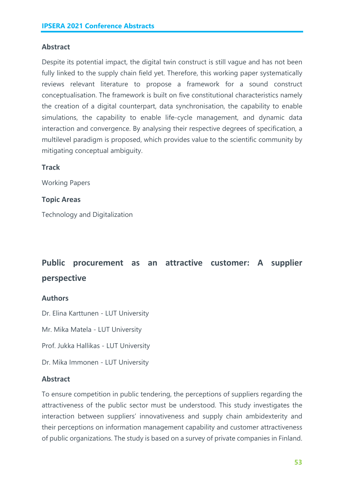### **Abstract**

Despite its potential impact, the digital twin construct is still vague and has not been fully linked to the supply chain field yet. Therefore, this working paper systematically reviews relevant literature to propose a framework for a sound construct conceptualisation. The framework is built on five constitutional characteristics namely the creation of a digital counterpart, data synchronisation, the capability to enable simulations, the capability to enable life-cycle management, and dynamic data interaction and convergence. By analysing their respective degrees of specification, a multilevel paradigm is proposed, which provides value to the scientific community by mitigating conceptual ambiguity.

### **Track**

Working Papers

#### **Topic Areas**

Technology and Digitalization

# **Public procurement as an attractive customer: A supplier perspective**

#### **Authors**

Dr. Elina Karttunen - LUT University

Mr. Mika Matela - LUT University

Prof. Jukka Hallikas - LUT University

Dr. Mika Immonen - LUT University

#### **Abstract**

To ensure competition in public tendering, the perceptions of suppliers regarding the attractiveness of the public sector must be understood. This study investigates the interaction between suppliers' innovativeness and supply chain ambidexterity and their perceptions on information management capability and customer attractiveness of public organizations. The study is based on a survey of private companies in Finland.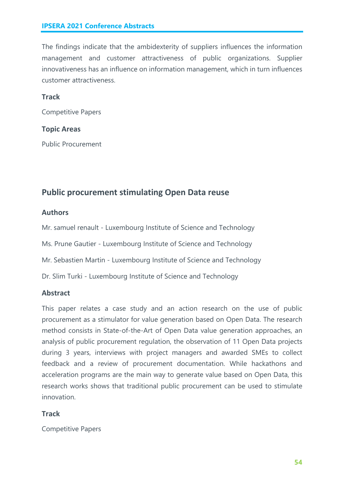The findings indicate that the ambidexterity of suppliers influences the information management and customer attractiveness of public organizations. Supplier innovativeness has an influence on information management, which in turn influences customer attractiveness.

#### **Track**

Competitive Papers

#### **Topic Areas**

Public Procurement

# **Public procurement stimulating Open Data reuse**

#### **Authors**

Mr. samuel renault - Luxembourg Institute of Science and Technology

Ms. Prune Gautier - Luxembourg Institute of Science and Technology

Mr. Sebastien Martin - Luxembourg Institute of Science and Technology

Dr. Slim Turki - Luxembourg Institute of Science and Technology

#### **Abstract**

This paper relates a case study and an action research on the use of public procurement as a stimulator for value generation based on Open Data. The research method consists in State-of-the-Art of Open Data value generation approaches, an analysis of public procurement regulation, the observation of 11 Open Data projects during 3 years, interviews with project managers and awarded SMEs to collect feedback and a review of procurement documentation. While hackathons and acceleration programs are the main way to generate value based on Open Data, this research works shows that traditional public procurement can be used to stimulate innovation.

#### **Track**

Competitive Papers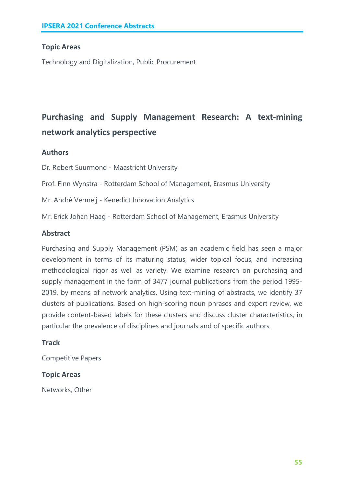#### **Topic Areas**

Technology and Digitalization, Public Procurement

# **Purchasing and Supply Management Research: A text-mining network analytics perspective**

#### **Authors**

Dr. Robert Suurmond - Maastricht University

Prof. Finn Wynstra - Rotterdam School of Management, Erasmus University

Mr. André Vermeij - Kenedict Innovation Analytics

Mr. Erick Johan Haag - Rotterdam School of Management, Erasmus University

#### **Abstract**

Purchasing and Supply Management (PSM) as an academic field has seen a major development in terms of its maturing status, wider topical focus, and increasing methodological rigor as well as variety. We examine research on purchasing and supply management in the form of 3477 journal publications from the period 1995- 2019, by means of network analytics. Using text-mining of abstracts, we identify 37 clusters of publications. Based on high-scoring noun phrases and expert review, we provide content-based labels for these clusters and discuss cluster characteristics, in particular the prevalence of disciplines and journals and of specific authors.

#### **Track**

Competitive Papers

#### **Topic Areas**

Networks, Other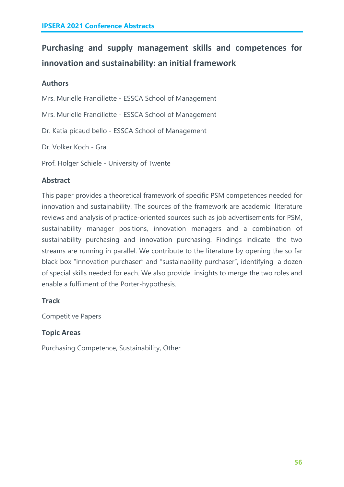# **Purchasing and supply management skills and competences for innovation and sustainability: an initial framework**

# **Authors**

Mrs. Murielle Francillette - ESSCA School of Management

Mrs. Murielle Francillette - ESSCA School of Management

Dr. Katia picaud bello - ESSCA School of Management

Dr. Volker Koch - Gra

Prof. Holger Schiele - University of Twente

# **Abstract**

This paper provides a theoretical framework of specific PSM competences needed for innovation and sustainability. The sources of the framework are academic literature reviews and analysis of practice-oriented sources such as job advertisements for PSM, sustainability manager positions, innovation managers and a combination of sustainability purchasing and innovation purchasing. Findings indicate the two streams are running in parallel. We contribute to the literature by opening the so far black box "innovation purchaser" and "sustainability purchaser", identifying a dozen of special skills needed for each. We also provide insights to merge the two roles and enable a fulfilment of the Porter-hypothesis.

# **Track**

Competitive Papers

# **Topic Areas**

Purchasing Competence, Sustainability, Other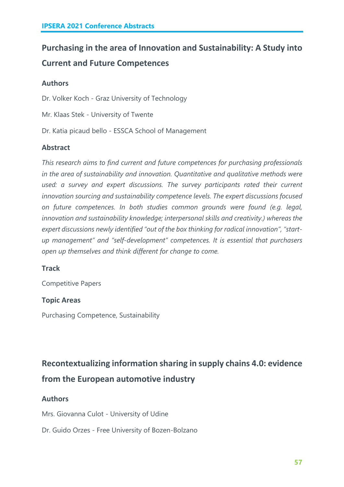# **Purchasing in the area of Innovation and Sustainability: A Study into Current and Future Competences**

# **Authors**

Dr. Volker Koch - Graz University of Technology

Mr. Klaas Stek - University of Twente

Dr. Katia picaud bello - ESSCA School of Management

# **Abstract**

*This research aims to find current and future competences for purchasing professionals in the area of sustainability and innovation. Quantitative and qualitative methods were used: a survey and expert discussions. The survey participants rated their current innovation sourcing and sustainability competence levels. The expert discussions focused on future competences. In both studies common grounds were found (e.g. legal, innovation and sustainability knowledge; interpersonal skills and creativity.) whereas the expert discussions newly identified "out of the box thinking for radical innovation", "startup management" and "self-development" competences. It is essential that purchasers open up themselves and think different for change to come.*

# **Track**

Competitive Papers

# **Topic Areas**

Purchasing Competence, Sustainability

# **Recontextualizing information sharing in supply chains 4.0: evidence from the European automotive industry**

# **Authors**

Mrs. Giovanna Culot - University of Udine

# Dr. Guido Orzes - Free University of Bozen-Bolzano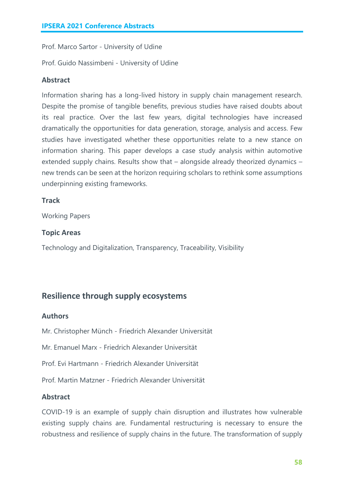Prof. Marco Sartor - University of Udine

Prof. Guido Nassimbeni - University of Udine

#### **Abstract**

Information sharing has a long-lived history in supply chain management research. Despite the promise of tangible benefits, previous studies have raised doubts about its real practice. Over the last few years, digital technologies have increased dramatically the opportunities for data generation, storage, analysis and access. Few studies have investigated whether these opportunities relate to a new stance on information sharing. This paper develops a case study analysis within automotive extended supply chains. Results show that – alongside already theorized dynamics – new trends can be seen at the horizon requiring scholars to rethink some assumptions underpinning existing frameworks.

#### **Track**

Working Papers

#### **Topic Areas**

Technology and Digitalization, Transparency, Traceability, Visibility

# **Resilience through supply ecosystems**

#### **Authors**

Mr. Christopher Münch - Friedrich Alexander Universität

Mr. Emanuel Marx - Friedrich Alexander Universität

Prof. Evi Hartmann - Friedrich Alexander Universität

Prof. Martin Matzner - Friedrich Alexander Universität

#### **Abstract**

COVID-19 is an example of supply chain disruption and illustrates how vulnerable existing supply chains are. Fundamental restructuring is necessary to ensure the robustness and resilience of supply chains in the future. The transformation of supply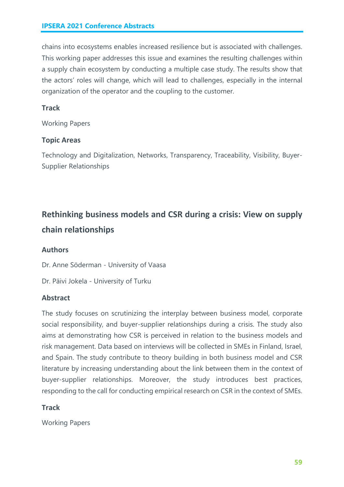chains into ecosystems enables increased resilience but is associated with challenges. This working paper addresses this issue and examines the resulting challenges within a supply chain ecosystem by conducting a multiple case study. The results show that the actors' roles will change, which will lead to challenges, especially in the internal organization of the operator and the coupling to the customer.

# **Track**

Working Papers

# **Topic Areas**

Technology and Digitalization, Networks, Transparency, Traceability, Visibility, Buyer-Supplier Relationships

# **Rethinking business models and CSR during a crisis: View on supply chain relationships**

# **Authors**

Dr. Anne Söderman - University of Vaasa

Dr. Päivi Jokela - University of Turku

# **Abstract**

The study focuses on scrutinizing the interplay between business model, corporate social responsibility, and buyer-supplier relationships during a crisis. The study also aims at demonstrating how CSR is perceived in relation to the business models and risk management. Data based on interviews will be collected in SMEs in Finland, Israel, and Spain. The study contribute to theory building in both business model and CSR literature by increasing understanding about the link between them in the context of buyer-supplier relationships. Moreover, the study introduces best practices, responding to the call for conducting empirical research on CSR in the context of SMEs.

# **Track**

Working Papers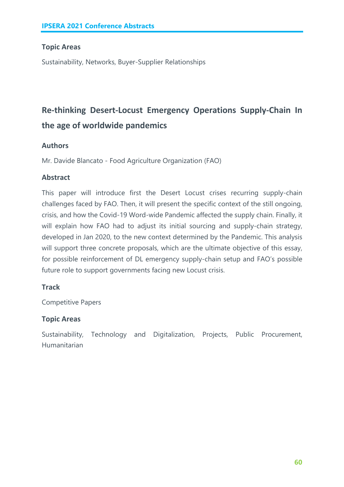# **Topic Areas**

Sustainability, Networks, Buyer-Supplier Relationships

# **Re-thinking Desert-Locust Emergency Operations Supply-Chain In the age of worldwide pandemics**

# **Authors**

Mr. Davide Blancato - Food Agriculture Organization (FAO)

# **Abstract**

This paper will introduce first the Desert Locust crises recurring supply-chain challenges faced by FAO. Then, it will present the specific context of the still ongoing, crisis, and how the Covid-19 Word-wide Pandemic affected the supply chain. Finally, it will explain how FAO had to adjust its initial sourcing and supply-chain strategy, developed in Jan 2020, to the new context determined by the Pandemic. This analysis will support three concrete proposals, which are the ultimate objective of this essay, for possible reinforcement of DL emergency supply-chain setup and FAO's possible future role to support governments facing new Locust crisis.

# **Track**

Competitive Papers

# **Topic Areas**

Sustainability, Technology and Digitalization, Projects, Public Procurement, Humanitarian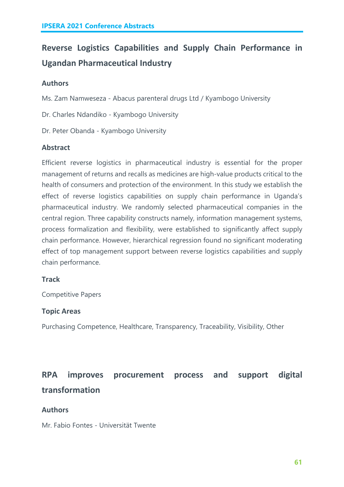# **Reverse Logistics Capabilities and Supply Chain Performance in Ugandan Pharmaceutical Industry**

### **Authors**

Ms. Zam Namweseza - Abacus parenteral drugs Ltd / Kyambogo University

Dr. Charles Ndandiko - Kyambogo University

Dr. Peter Obanda - Kyambogo University

### **Abstract**

Efficient reverse logistics in pharmaceutical industry is essential for the proper management of returns and recalls as medicines are high-value products critical to the health of consumers and protection of the environment. In this study we establish the effect of reverse logistics capabilities on supply chain performance in Uganda's pharmaceutical industry. We randomly selected pharmaceutical companies in the central region. Three capability constructs namely, information management systems, process formalization and flexibility, were established to significantly affect supply chain performance. However, hierarchical regression found no significant moderating effect of top management support between reverse logistics capabilities and supply chain performance.

#### **Track**

Competitive Papers

#### **Topic Areas**

Purchasing Competence, Healthcare, Transparency, Traceability, Visibility, Other

# **RPA improves procurement process and support digital transformation**

#### **Authors**

Mr. Fabio Fontes - Universität Twente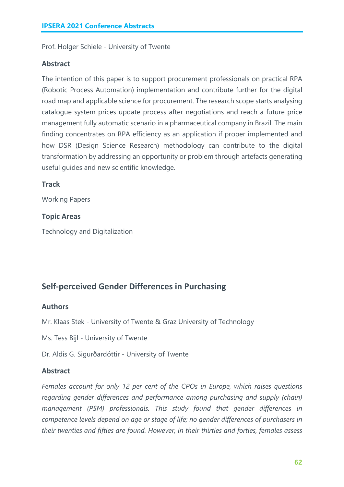Prof. Holger Schiele - University of Twente

#### **Abstract**

The intention of this paper is to support procurement professionals on practical RPA (Robotic Process Automation) implementation and contribute further for the digital road map and applicable science for procurement. The research scope starts analysing catalogue system prices update process after negotiations and reach a future price management fully automatic scenario in a pharmaceutical company in Brazil. The main finding concentrates on RPA efficiency as an application if proper implemented and how DSR (Design Science Research) methodology can contribute to the digital transformation by addressing an opportunity or problem through artefacts generating useful guides and new scientific knowledge.

#### **Track**

Working Papers

#### **Topic Areas**

Technology and Digitalization

# **Self-perceived Gender Differences in Purchasing**

#### **Authors**

Mr. Klaas Stek - University of Twente & Graz University of Technology

Ms. Tess Bijl - University of Twente

Dr. Aldis G. Sigurðardóttir - University of Twente

#### **Abstract**

*Females account for only 12 per cent of the CPOs in Europe, which raises questions regarding gender differences and performance among purchasing and supply (chain) management (PSM) professionals. This study found that gender differences in competence levels depend on age or stage of life; no gender differences of purchasers in their twenties and fifties are found. However, in their thirties and forties, females assess*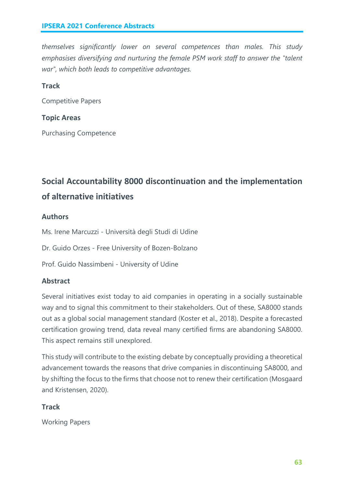*themselves significantly lower on several competences than males. This study emphasises diversifying and nurturing the female PSM work staff to answer the "talent war", which both leads to competitive advantages.*

### **Track**

Competitive Papers

#### **Topic Areas**

Purchasing Competence

# **Social Accountability 8000 discontinuation and the implementation of alternative initiatives**

### **Authors**

Ms. Irene Marcuzzi - Università degli Studi di Udine

Dr. Guido Orzes - Free University of Bozen-Bolzano

Prof. Guido Nassimbeni - University of Udine

# **Abstract**

Several initiatives exist today to aid companies in operating in a socially sustainable way and to signal this commitment to their stakeholders. Out of these, SA8000 stands out as a global social management standard (Koster et al., 2018). Despite a forecasted certification growing trend, data reveal many certified firms are abandoning SA8000. This aspect remains still unexplored.

This study will contribute to the existing debate by conceptually providing a theoretical advancement towards the reasons that drive companies in discontinuing SA8000, and by shifting the focus to the firms that choose not to renew their certification (Mosgaard and Kristensen, 2020).

#### **Track**

Working Papers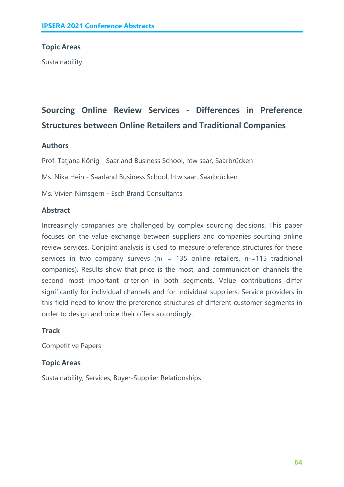#### **Topic Areas**

Sustainability

# **Sourcing Online Review Services - Differences in Preference Structures between Online Retailers and Traditional Companies**

#### **Authors**

Prof. Tatjana König - Saarland Business School, htw saar, Saarbrücken

Ms. Nika Hein - Saarland Business School, htw saar, Saarbrücken

Ms. Vivien Nimsgern - Esch Brand Consultants

#### **Abstract**

Increasingly companies are challenged by complex sourcing decisions. This paper focuses on the value exchange between suppliers and companies sourcing online review services. Conjoint analysis is used to measure preference structures for these services in two company surveys ( $n_1$  = 135 online retailers,  $n_2$ =115 traditional companies). Results show that price is the most, and communication channels the second most important criterion in both segments. Value contributions differ significantly for individual channels and for individual suppliers. Service providers in this field need to know the preference structures of different customer segments in order to design and price their offers accordingly.

#### **Track**

Competitive Papers

#### **Topic Areas**

Sustainability, Services, Buyer-Supplier Relationships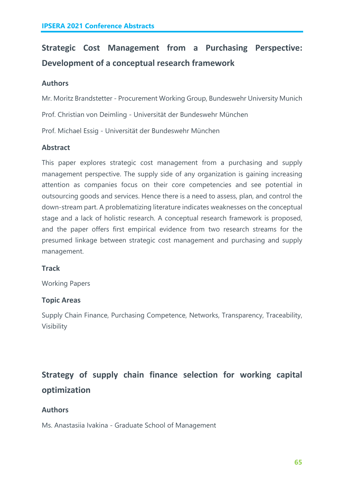# **Strategic Cost Management from a Purchasing Perspective: Development of a conceptual research framework**

# **Authors**

Mr. Moritz Brandstetter - Procurement Working Group, Bundeswehr University Munich

Prof. Christian von Deimling - Universität der Bundeswehr München

Prof. Michael Essig - Universität der Bundeswehr München

# **Abstract**

This paper explores strategic cost management from a purchasing and supply management perspective. The supply side of any organization is gaining increasing attention as companies focus on their core competencies and see potential in outsourcing goods and services. Hence there is a need to assess, plan, and control the down-stream part. A problematizing literature indicates weaknesses on the conceptual stage and a lack of holistic research. A conceptual research framework is proposed, and the paper offers first empirical evidence from two research streams for the presumed linkage between strategic cost management and purchasing and supply management.

# **Track**

Working Papers

# **Topic Areas**

Supply Chain Finance, Purchasing Competence, Networks, Transparency, Traceability, Visibility

# **Strategy of supply chain finance selection for working capital optimization**

# **Authors**

Ms. Anastasiia Ivakina - Graduate School of Management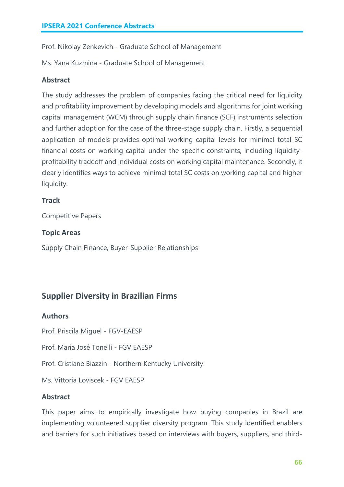Prof. Nikolay Zenkevich - Graduate School of Management

Ms. Yana Kuzmina - Graduate School of Management

# **Abstract**

The study addresses the problem of companies facing the critical need for liquidity and profitability improvement by developing models and algorithms for joint working capital management (WCM) through supply chain finance (SCF) instruments selection and further adoption for the case of the three-stage supply chain. Firstly, a sequential application of models provides optimal working capital levels for minimal total SC financial costs on working capital under the specific constraints, including liquidityprofitability tradeoff and individual costs on working capital maintenance. Secondly, it clearly identifies ways to achieve minimal total SC costs on working capital and higher liquidity.

# **Track**

Competitive Papers

# **Topic Areas**

Supply Chain Finance, Buyer-Supplier Relationships

# **Supplier Diversity in Brazilian Firms**

# **Authors**

Prof. Priscila Miguel - FGV-EAESP

Prof. Maria José Tonelli - FGV EAESP

Prof. Cristiane Biazzin - Northern Kentucky University

Ms. Vittoria Loviscek - FGV EAESP

# **Abstract**

This paper aims to empirically investigate how buying companies in Brazil are implementing volunteered supplier diversity program. This study identified enablers and barriers for such initiatives based on interviews with buyers, suppliers, and third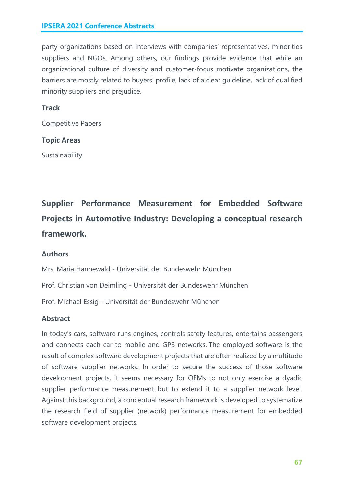party organizations based on interviews with companies' representatives, minorities suppliers and NGOs. Among others, our findings provide evidence that while an organizational culture of diversity and customer-focus motivate organizations, the barriers are mostly related to buyers' profile, lack of a clear guideline, lack of qualified minority suppliers and prejudice.

#### **Track**

Competitive Papers

#### **Topic Areas**

Sustainability

# **Supplier Performance Measurement for Embedded Software Projects in Automotive Industry: Developing a conceptual research framework.**

#### **Authors**

Mrs. Maria Hannewald - Universität der Bundeswehr München

Prof. Christian von Deimling - Universität der Bundeswehr München

Prof. Michael Essig - Universität der Bundeswehr München

#### **Abstract**

In today's cars, software runs engines, controls safety features, entertains passengers and connects each car to mobile and GPS networks. The employed software is the result of complex software development projects that are often realized by a multitude of software supplier networks. In order to secure the success of those software development projects, it seems necessary for OEMs to not only exercise a dyadic supplier performance measurement but to extend it to a supplier network level. Against this background, a conceptual research framework is developed to systematize the research field of supplier (network) performance measurement for embedded software development projects.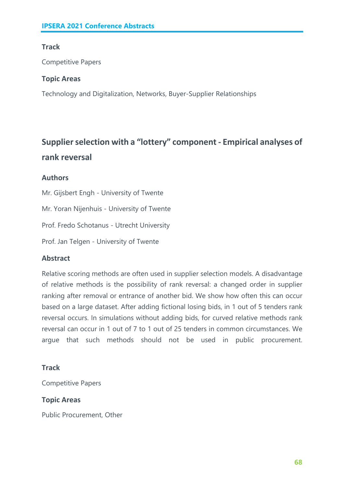# **Track**

Competitive Papers

### **Topic Areas**

Technology and Digitalization, Networks, Buyer-Supplier Relationships

# **Supplier selection with a "lottery" component - Empirical analyses of rank reversal**

# **Authors**

Mr. Gijsbert Engh - University of Twente Mr. Yoran Nijenhuis - University of Twente Prof. Fredo Schotanus - Utrecht University

Prof. Jan Telgen - University of Twente

# **Abstract**

Relative scoring methods are often used in supplier selection models. A disadvantage of relative methods is the possibility of rank reversal: a changed order in supplier ranking after removal or entrance of another bid. We show how often this can occur based on a large dataset. After adding fictional losing bids, in 1 out of 5 tenders rank reversal occurs. In simulations without adding bids, for curved relative methods rank reversal can occur in 1 out of 7 to 1 out of 25 tenders in common circumstances. We argue that such methods should not be used in public procurement.

# **Track**

Competitive Papers

# **Topic Areas**

Public Procurement, Other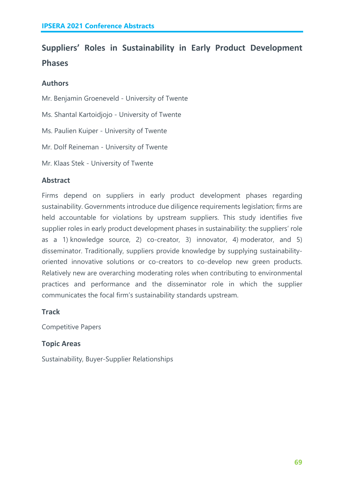# **Suppliers' Roles in Sustainability in Early Product Development Phases**

### **Authors**

Mr. Benjamin Groeneveld - University of Twente

Ms. Shantal Kartoidjojo - University of Twente

Ms. Paulien Kuiper - University of Twente

Mr. Dolf Reineman - University of Twente

Mr. Klaas Stek - University of Twente

#### **Abstract**

Firms depend on suppliers in early product development phases regarding sustainability. Governments introduce due diligence requirements legislation; firms are held accountable for violations by upstream suppliers. This study identifies five supplier roles in early product development phases in sustainability: the suppliers' role as a 1) knowledge source, 2) co-creator, 3) innovator, 4) moderator, and 5) disseminator. Traditionally, suppliers provide knowledge by supplying sustainabilityoriented innovative solutions or co-creators to co-develop new green products. Relatively new are overarching moderating roles when contributing to environmental practices and performance and the disseminator role in which the supplier communicates the focal firm's sustainability standards upstream.

#### **Track**

Competitive Papers

#### **Topic Areas**

Sustainability, Buyer-Supplier Relationships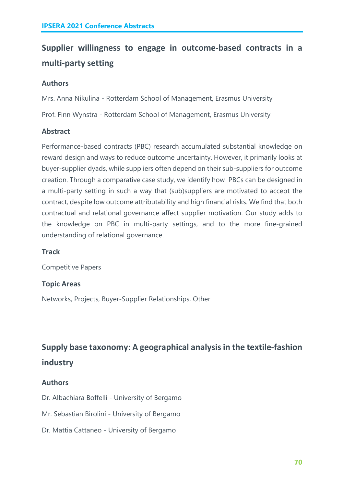# **Supplier willingness to engage in outcome-based contracts in a multi-party setting**

# **Authors**

Mrs. Anna Nikulina - Rotterdam School of Management, Erasmus University

Prof. Finn Wynstra - Rotterdam School of Management, Erasmus University

# **Abstract**

Performance-based contracts (PBC) research accumulated substantial knowledge on reward design and ways to reduce outcome uncertainty. However, it primarily looks at buyer-supplier dyads, while suppliers often depend on their sub-suppliers for outcome creation. Through a comparative case study, we identify how PBCs can be designed in a multi-party setting in such a way that (sub)suppliers are motivated to accept the contract, despite low outcome attributability and high financial risks. We find that both contractual and relational governance affect supplier motivation. Our study adds to the knowledge on PBC in multi-party settings, and to the more fine-grained understanding of relational governance.

# **Track**

Competitive Papers

# **Topic Areas**

Networks, Projects, Buyer-Supplier Relationships, Other

# **Supply base taxonomy: A geographical analysis in the textile-fashion industry**

# **Authors**

Dr. Albachiara Boffelli - University of Bergamo

Mr. Sebastian Birolini - University of Bergamo

Dr. Mattia Cattaneo - University of Bergamo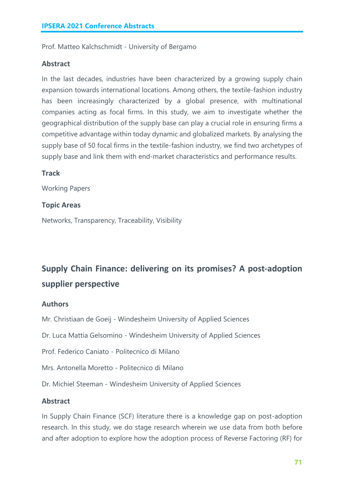Prof. Matteo Kalchschmidt - University of Bergamo

#### **Abstract**

In the last decades, industries have been characterized by a growing supply chain expansion towards international locations. Among others, the textile-fashion industry has been increasingly characterized by a global presence, with multinational companies acting as focal firms. In this study, we aim to investigate whether the geographical distribution of the supply base can play a crucial role in ensuring firms a competitive advantage within today dynamic and globalized markets. By analysing the supply base of 50 focal firms in the textile-fashion industry, we find two archetypes of supply base and link them with end-market characteristics and performance results.

#### **Track**

Working Papers

#### **Topic Areas**

Networks, Transparency, Traceability, Visibility

# **Supply Chain Finance: delivering on its promises? A post-adoption supplier perspective**

#### **Authors**

Mr. Christiaan de Goeij - Windesheim University of Applied Sciences

Dr. Luca Mattia Gelsomino - Windesheim University of Applied Sciences

Prof. Federico Caniato - Politecnico di Milano

Mrs. Antonella Moretto - Politecnico di Milano

Dr. Michiel Steeman - Windesheim University of Applied Sciences

#### **Abstract**

In Supply Chain Finance (SCF) literature there is a knowledge gap on post-adoption research. In this study, we do stage research wherein we use data from both before and after adoption to explore how the adoption process of Reverse Factoring (RF) for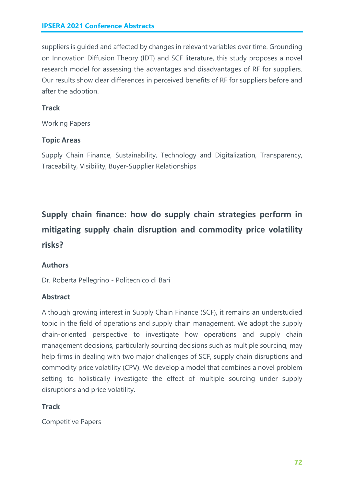suppliers is guided and affected by changes in relevant variables over time. Grounding on Innovation Diffusion Theory (IDT) and SCF literature, this study proposes a novel research model for assessing the advantages and disadvantages of RF for suppliers. Our results show clear differences in perceived benefits of RF for suppliers before and after the adoption.

# **Track**

Working Papers

# **Topic Areas**

Supply Chain Finance, Sustainability, Technology and Digitalization, Transparency, Traceability, Visibility, Buyer-Supplier Relationships

# **Supply chain finance: how do supply chain strategies perform in mitigating supply chain disruption and commodity price volatility risks?**

# **Authors**

Dr. Roberta Pellegrino - Politecnico di Bari

# **Abstract**

Although growing interest in Supply Chain Finance (SCF), it remains an understudied topic in the field of operations and supply chain management. We adopt the supply chain-oriented perspective to investigate how operations and supply chain management decisions, particularly sourcing decisions such as multiple sourcing, may help firms in dealing with two major challenges of SCF, supply chain disruptions and commodity price volatility (CPV). We develop a model that combines a novel problem setting to holistically investigate the effect of multiple sourcing under supply disruptions and price volatility.

# **Track**

Competitive Papers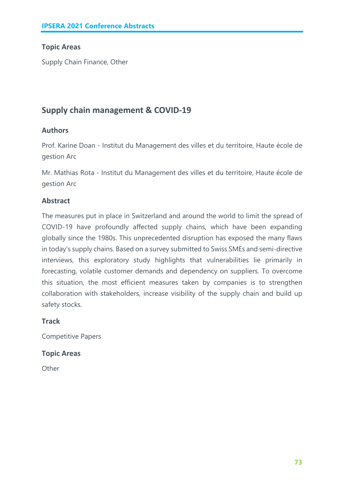# **Topic Areas**

Supply Chain Finance, Other

# **Supply chain management & COVID-19**

#### **Authors**

Prof. Karine Doan - Institut du Management des villes et du territoire, Haute école de gestion Arc

Mr. Mathias Rota - Institut du Management des villes et du territoire, Haute école de gestion Arc

# **Abstract**

The measures put in place in Switzerland and around the world to limit the spread of COVID-19 have profoundly affected supply chains, which have been expanding globally since the 1980s. This unprecedented disruption has exposed the many flaws in today's supply chains. Based on a survey submitted to Swiss SMEs and semi-directive interviews, this exploratory study highlights that vulnerabilities lie primarily in forecasting, volatile customer demands and dependency on suppliers. To overcome this situation, the most efficient measures taken by companies is to strengthen collaboration with stakeholders, increase visibility of the supply chain and build up safety stocks.

#### **Track**

Competitive Papers

#### **Topic Areas**

**Other**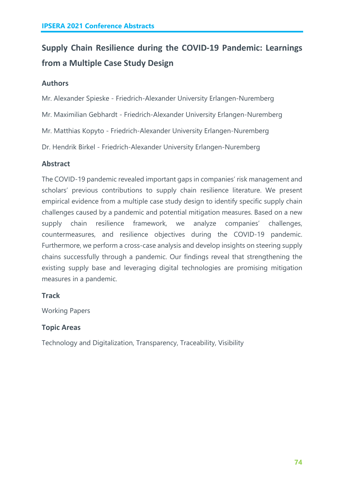# **Supply Chain Resilience during the COVID-19 Pandemic: Learnings from a Multiple Case Study Design**

# **Authors**

Mr. Alexander Spieske - Friedrich-Alexander University Erlangen-Nuremberg

Mr. Maximilian Gebhardt - Friedrich-Alexander University Erlangen-Nuremberg

Mr. Matthias Kopyto - Friedrich-Alexander University Erlangen-Nuremberg

Dr. Hendrik Birkel - Friedrich-Alexander University Erlangen-Nuremberg

# **Abstract**

The COVID-19 pandemic revealed important gaps in companies' risk management and scholars' previous contributions to supply chain resilience literature. We present empirical evidence from a multiple case study design to identify specific supply chain challenges caused by a pandemic and potential mitigation measures. Based on a new supply chain resilience framework, we analyze companies' challenges, countermeasures, and resilience objectives during the COVID-19 pandemic. Furthermore, we perform a cross-case analysis and develop insights on steering supply chains successfully through a pandemic. Our findings reveal that strengthening the existing supply base and leveraging digital technologies are promising mitigation measures in a pandemic.

# **Track**

Working Papers

# **Topic Areas**

Technology and Digitalization, Transparency, Traceability, Visibility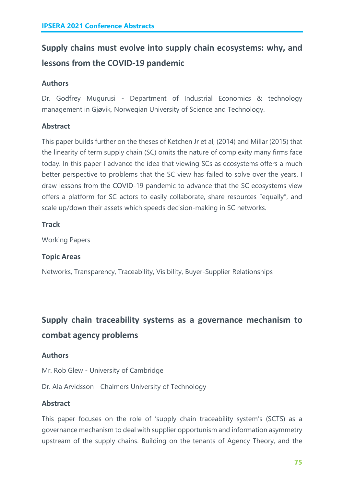# **Supply chains must evolve into supply chain ecosystems: why, and lessons from the COVID-19 pandemic**

# **Authors**

Dr. Godfrey Mugurusi - Department of Industrial Economics & technology management in Gjøvik, Norwegian University of Science and Technology.

# **Abstract**

This paper builds further on the theses of Ketchen Jr et al, (2014) and Millar (2015) that the linearity of term supply chain (SC) omits the nature of complexity many firms face today. In this paper I advance the idea that viewing SCs as ecosystems offers a much better perspective to problems that the SC view has failed to solve over the years. I draw lessons from the COVID-19 pandemic to advance that the SC ecosystems view offers a platform for SC actors to easily collaborate, share resources "equally", and scale up/down their assets which speeds decision-making in SC networks.

# **Track**

Working Papers

# **Topic Areas**

Networks, Transparency, Traceability, Visibility, Buyer-Supplier Relationships

# **Supply chain traceability systems as a governance mechanism to combat agency problems**

# **Authors**

Mr. Rob Glew - University of Cambridge

Dr. Ala Arvidsson - Chalmers University of Technology

# **Abstract**

This paper focuses on the role of 'supply chain traceability system's (SCTS) as a governance mechanism to deal with supplier opportunism and information asymmetry upstream of the supply chains. Building on the tenants of Agency Theory, and the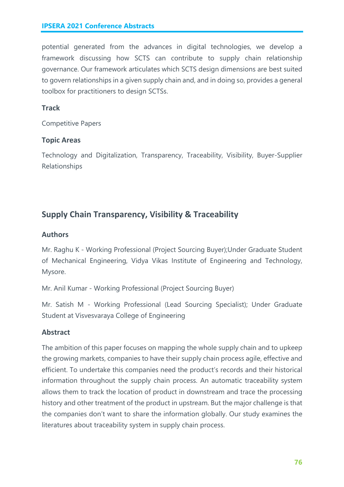potential generated from the advances in digital technologies, we develop a framework discussing how SCTS can contribute to supply chain relationship governance. Our framework articulates which SCTS design dimensions are best suited to govern relationships in a given supply chain and, and in doing so, provides a general toolbox for practitioners to design SCTSs.

# **Track**

Competitive Papers

# **Topic Areas**

Technology and Digitalization, Transparency, Traceability, Visibility, Buyer-Supplier Relationships

# **Supply Chain Transparency, Visibility & Traceability**

# **Authors**

Mr. Raghu K - Working Professional (Project Sourcing Buyer);Under Graduate Student of Mechanical Engineering, Vidya Vikas Institute of Engineering and Technology, Mysore.

Mr. Anil Kumar - Working Professional (Project Sourcing Buyer)

Mr. Satish M - Working Professional (Lead Sourcing Specialist); Under Graduate Student at Visvesvaraya College of Engineering

# **Abstract**

The ambition of this paper focuses on mapping the whole supply chain and to upkeep the growing markets, companies to have their supply chain process agile, effective and efficient. To undertake this companies need the product's records and their historical information throughout the supply chain process. An automatic traceability system allows them to track the location of product in downstream and trace the processing history and other treatment of the product in upstream. But the major challenge is that the companies don't want to share the information globally. Our study examines the literatures about traceability system in supply chain process.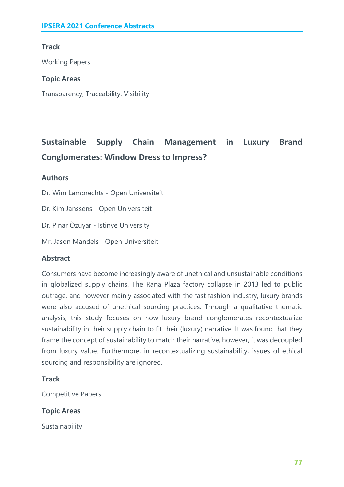# **Track**

Working Papers

#### **Topic Areas**

Transparency, Traceability, Visibility

# **Sustainable Supply Chain Management in Luxury Brand Conglomerates: Window Dress to Impress?**

# **Authors**

Dr. Wim Lambrechts - Open Universiteit

Dr. Kim Janssens - Open Universiteit

Dr. Pınar Özuyar - Istinye University

Mr. Jason Mandels - Open Universiteit

# **Abstract**

Consumers have become increasingly aware of unethical and unsustainable conditions in globalized supply chains. The Rana Plaza factory collapse in 2013 led to public outrage, and however mainly associated with the fast fashion industry, luxury brands were also accused of unethical sourcing practices. Through a qualitative thematic analysis, this study focuses on how luxury brand conglomerates recontextualize sustainability in their supply chain to fit their (luxury) narrative. It was found that they frame the concept of sustainability to match their narrative, however, it was decoupled from luxury value. Furthermore, in recontextualizing sustainability, issues of ethical sourcing and responsibility are ignored.

# **Track**

Competitive Papers

# **Topic Areas**

Sustainability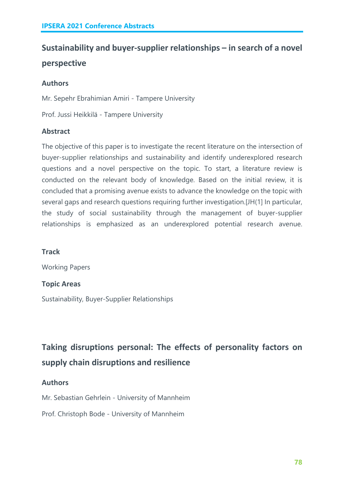# **Sustainability and buyer-supplier relationships – in search of a novel perspective**

# **Authors**

Mr. Sepehr Ebrahimian Amiri - Tampere University

Prof. Jussi Heikkilä - Tampere University

# **Abstract**

The objective of this paper is to investigate the recent literature on the intersection of buyer-supplier relationships and sustainability and identify underexplored research questions and a novel perspective on the topic. To start, a literature review is conducted on the relevant body of knowledge. Based on the initial review, it is concluded that a promising avenue exists to advance the knowledge on the topic with several gaps and research questions requiring further investigation.[JH(1] In particular, the study of social sustainability through the management of buyer-supplier relationships is emphasized as an underexplored potential research avenue.

# **Track**

Working Papers

# **Topic Areas**

Sustainability, Buyer-Supplier Relationships

**Taking disruptions personal: The effects of personality factors on supply chain disruptions and resilience**

# **Authors**

Mr. Sebastian Gehrlein - University of Mannheim

Prof. Christoph Bode - University of Mannheim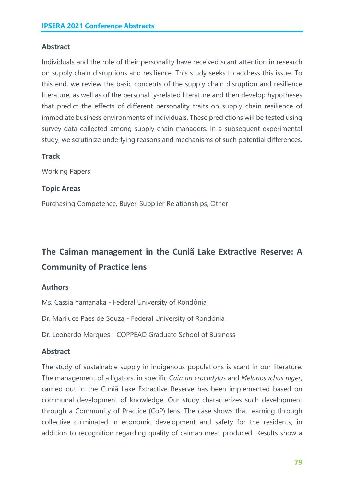#### **Abstract**

Individuals and the role of their personality have received scant attention in research on supply chain disruptions and resilience. This study seeks to address this issue. To this end, we review the basic concepts of the supply chain disruption and resilience literature, as well as of the personality-related literature and then develop hypotheses that predict the effects of different personality traits on supply chain resilience of immediate business environments of individuals. These predictions will be tested using survey data collected among supply chain managers. In a subsequent experimental study, we scrutinize underlying reasons and mechanisms of such potential differences.

#### **Track**

Working Papers

#### **Topic Areas**

Purchasing Competence, Buyer-Supplier Relationships, Other

# **The Caiman management in the Cuniã Lake Extractive Reserve: A Community of Practice lens**

#### **Authors**

Ms. Cassia Yamanaka - Federal University of Rondônia

Dr. Mariluce Paes de Souza - Federal University of Rondônia

Dr. Leonardo Marques - COPPEAD Graduate School of Business

#### **Abstract**

The study of sustainable supply in indigenous populations is scant in our literature. The management of alligators, in specific *Caiman crocodylus* and *Melanosuchus niger*, carried out in the Cuniã Lake Extractive Reserve has been implemented based on communal development of knowledge. Our study characterizes such development through a Community of Practice (CoP) lens. The case shows that learning through collective culminated in economic development and safety for the residents, in addition to recognition regarding quality of caiman meat produced. Results show a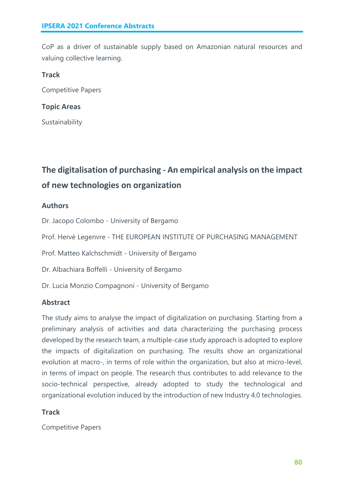CoP as a driver of sustainable supply based on Amazonian natural resources and valuing collective learning.

#### **Track**

Competitive Papers

#### **Topic Areas**

Sustainability

# **The digitalisation of purchasing - An empirical analysis on the impact of new technologies on organization**

# **Authors**

Dr. Jacopo Colombo - University of Bergamo

Prof. Hervé Legenvre - THE EUROPEAN INSTITUTE OF PURCHASING MANAGEMENT

Prof. Matteo Kalchschmidt - University of Bergamo

Dr. Albachiara Boffelli - University of Bergamo

Dr. Lucia Monzio Compagnoni - University of Bergamo

# **Abstract**

The study aims to analyse the impact of digitalization on purchasing. Starting from a preliminary analysis of activities and data characterizing the purchasing process developed by the research team, a multiple-case study approach is adopted to explore the impacts of digitalization on purchasing. The results show an organizational evolution at macro-, in terms of role within the organization, but also at micro-level, in terms of impact on people. The research thus contributes to add relevance to the socio-technical perspective, already adopted to study the technological and organizational evolution induced by the introduction of new Industry 4.0 technologies.

# **Track**

Competitive Papers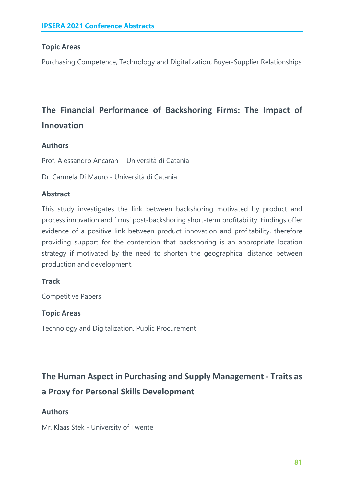#### **Topic Areas**

Purchasing Competence, Technology and Digitalization, Buyer-Supplier Relationships

# **The Financial Performance of Backshoring Firms: The Impact of Innovation**

#### **Authors**

Prof. Alessandro Ancarani - Università di Catania

Dr. Carmela Di Mauro - Università di Catania

#### **Abstract**

This study investigates the link between backshoring motivated by product and process innovation and firms' post-backshoring short-term profitability. Findings offer evidence of a positive link between product innovation and profitability, therefore providing support for the contention that backshoring is an appropriate location strategy if motivated by the need to shorten the geographical distance between production and development.

#### **Track**

Competitive Papers

#### **Topic Areas**

Technology and Digitalization, Public Procurement

# **The Human Aspect in Purchasing and Supply Management - Traits as a Proxy for Personal Skills Development**

# **Authors**

Mr. Klaas Stek - University of Twente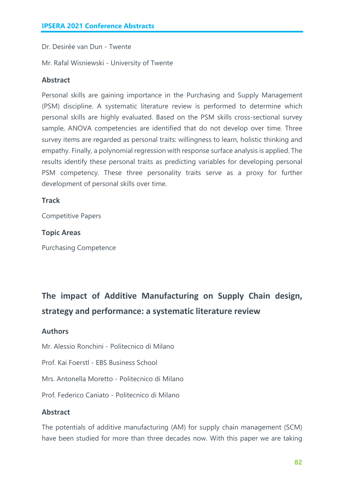Dr. Desirée van Dun - Twente

Mr. Rafal Wisniewski - University of Twente

#### **Abstract**

Personal skills are gaining importance in the Purchasing and Supply Management (PSM) discipline. A systematic literature review is performed to determine which personal skills are highly evaluated. Based on the PSM skills cross-sectional survey sample, ANOVA competencies are identified that do not develop over time. Three survey items are regarded as personal traits: willingness to learn, holistic thinking and empathy. Finally, a polynomial regression with response surface analysis is applied. The results identify these personal traits as predicting variables for developing personal PSM competency. These three personality traits serve as a proxy for further development of personal skills over time.

#### **Track**

Competitive Papers

#### **Topic Areas**

Purchasing Competence

# **The impact of Additive Manufacturing on Supply Chain design, strategy and performance: a systematic literature review**

#### **Authors**

Mr. Alessio Ronchini - Politecnico di Milano

Prof. Kai Foerstl - EBS Business School

Mrs. Antonella Moretto - Politecnico di Milano

Prof. Federico Caniato - Politecnico di Milano

#### **Abstract**

The potentials of additive manufacturing (AM) for supply chain management (SCM) have been studied for more than three decades now. With this paper we are taking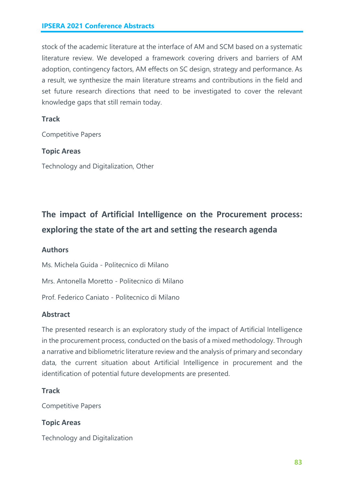stock of the academic literature at the interface of AM and SCM based on a systematic literature review. We developed a framework covering drivers and barriers of AM adoption, contingency factors, AM effects on SC design, strategy and performance. As a result, we synthesize the main literature streams and contributions in the field and set future research directions that need to be investigated to cover the relevant knowledge gaps that still remain today.

#### **Track**

Competitive Papers

#### **Topic Areas**

Technology and Digitalization, Other

# **The impact of Artificial Intelligence on the Procurement process: exploring the state of the art and setting the research agenda**

#### **Authors**

Ms. Michela Guida - Politecnico di Milano

Mrs. Antonella Moretto - Politecnico di Milano

Prof. Federico Caniato - Politecnico di Milano

#### **Abstract**

The presented research is an exploratory study of the impact of Artificial Intelligence in the procurement process, conducted on the basis of a mixed methodology. Through a narrative and bibliometric literature review and the analysis of primary and secondary data, the current situation about Artificial Intelligence in procurement and the identification of potential future developments are presented.

#### **Track**

Competitive Papers

#### **Topic Areas**

Technology and Digitalization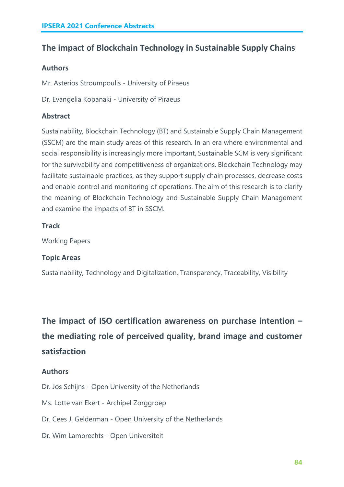# **The impact of Blockchain Technology in Sustainable Supply Chains**

# **Authors**

Mr. Asterios Stroumpoulis - University of Piraeus

Dr. Evangelia Kopanaki - University of Piraeus

# **Abstract**

Sustainability, Blockchain Technology (BT) and Sustainable Supply Chain Management (SSCM) are the main study areas of this research. In an era where environmental and social responsibility is increasingly more important, Sustainable SCM is very significant for the survivability and competitiveness of organizations. Blockchain Technology may facilitate sustainable practices, as they support supply chain processes, decrease costs and enable control and monitoring of operations. The aim of this research is to clarify the meaning of Blockchain Technology and Sustainable Supply Chain Management and examine the impacts of BT in SSCM.

# **Track**

Working Papers

# **Topic Areas**

Sustainability, Technology and Digitalization, Transparency, Traceability, Visibility

# **The impact of ISO certification awareness on purchase intention – the mediating role of perceived quality, brand image and customer satisfaction**

# **Authors**

Dr. Jos Schijns - Open University of the Netherlands

Ms. Lotte van Ekert - Archipel Zorggroep

- Dr. Cees J. Gelderman Open University of the Netherlands
- Dr. Wim Lambrechts Open Universiteit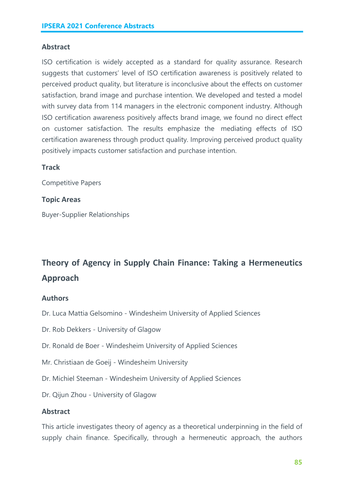#### **Abstract**

ISO certification is widely accepted as a standard for quality assurance. Research suggests that customers' level of ISO certification awareness is positively related to perceived product quality, but literature is inconclusive about the effects on customer satisfaction, brand image and purchase intention. We developed and tested a model with survey data from 114 managers in the electronic component industry. Although ISO certification awareness positively affects brand image, we found no direct effect on customer satisfaction. The results emphasize the mediating effects of ISO certification awareness through product quality. Improving perceived product quality positively impacts customer satisfaction and purchase intention.

#### **Track**

Competitive Papers

#### **Topic Areas**

Buyer-Supplier Relationships

# **Theory of Agency in Supply Chain Finance: Taking a Hermeneutics Approach**

#### **Authors**

- Dr. Luca Mattia Gelsomino Windesheim University of Applied Sciences
- Dr. Rob Dekkers University of Glagow
- Dr. Ronald de Boer Windesheim University of Applied Sciences
- Mr. Christiaan de Goeij Windesheim University
- Dr. Michiel Steeman Windesheim University of Applied Sciences
- Dr. Qijun Zhou University of Glagow

#### **Abstract**

This article investigates theory of agency as a theoretical underpinning in the field of supply chain finance. Specifically, through a hermeneutic approach, the authors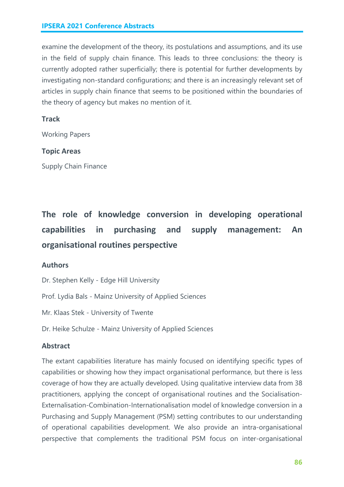examine the development of the theory, its postulations and assumptions, and its use in the field of supply chain finance. This leads to three conclusions: the theory is currently adopted rather superficially; there is potential for further developments by investigating non-standard configurations; and there is an increasingly relevant set of articles in supply chain finance that seems to be positioned within the boundaries of the theory of agency but makes no mention of it.

#### **Track**

Working Papers

#### **Topic Areas**

Supply Chain Finance

# **The role of knowledge conversion in developing operational capabilities in purchasing and supply management: An organisational routines perspective**

#### **Authors**

Dr. Stephen Kelly - Edge Hill University

Prof. Lydia Bals - Mainz University of Applied Sciences

Mr. Klaas Stek - University of Twente

Dr. Heike Schulze - Mainz University of Applied Sciences

#### **Abstract**

The extant capabilities literature has mainly focused on identifying specific types of capabilities or showing how they impact organisational performance, but there is less coverage of how they are actually developed. Using qualitative interview data from 38 practitioners, applying the concept of organisational routines and the Socialisation-Externalisation-Combination-Internationalisation model of knowledge conversion in a Purchasing and Supply Management (PSM) setting contributes to our understanding of operational capabilities development. We also provide an intra-organisational perspective that complements the traditional PSM focus on inter-organisational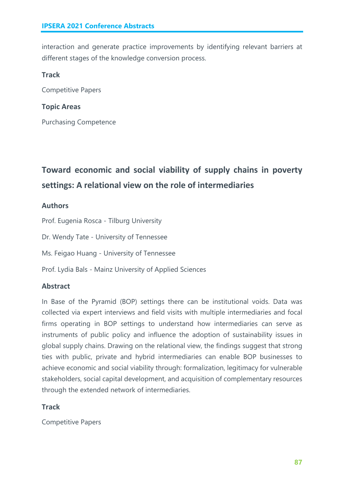interaction and generate practice improvements by identifying relevant barriers at different stages of the knowledge conversion process.

# **Track**

Competitive Papers

# **Topic Areas**

Purchasing Competence

# **Toward economic and social viability of supply chains in poverty settings: A relational view on the role of intermediaries**

# **Authors**

Prof. Eugenia Rosca - Tilburg University

Dr. Wendy Tate - University of Tennessee

Ms. Feigao Huang - University of Tennessee

Prof. Lydia Bals - Mainz University of Applied Sciences

# **Abstract**

In Base of the Pyramid (BOP) settings there can be institutional voids. Data was collected via expert interviews and field visits with multiple intermediaries and focal firms operating in BOP settings to understand how intermediaries can serve as instruments of public policy and influence the adoption of sustainability issues in global supply chains. Drawing on the relational view, the findings suggest that strong ties with public, private and hybrid intermediaries can enable BOP businesses to achieve economic and social viability through: formalization, legitimacy for vulnerable stakeholders, social capital development, and acquisition of complementary resources through the extended network of intermediaries.

# **Track**

Competitive Papers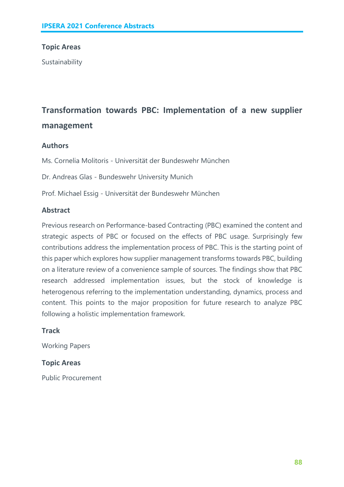#### **Topic Areas**

Sustainability

# **Transformation towards PBC: Implementation of a new supplier management**

#### **Authors**

Ms. Cornelia Molitoris - Universität der Bundeswehr München

Dr. Andreas Glas - Bundeswehr University Munich

Prof. Michael Essig - Universität der Bundeswehr München

#### **Abstract**

Previous research on Performance-based Contracting (PBC) examined the content and strategic aspects of PBC or focused on the effects of PBC usage. Surprisingly few contributions address the implementation process of PBC. This is the starting point of this paper which explores how supplier management transforms towards PBC, building on a literature review of a convenience sample of sources. The findings show that PBC research addressed implementation issues, but the stock of knowledge is heterogenous referring to the implementation understanding, dynamics, process and content. This points to the major proposition for future research to analyze PBC following a holistic implementation framework.

#### **Track**

Working Papers

#### **Topic Areas**

Public Procurement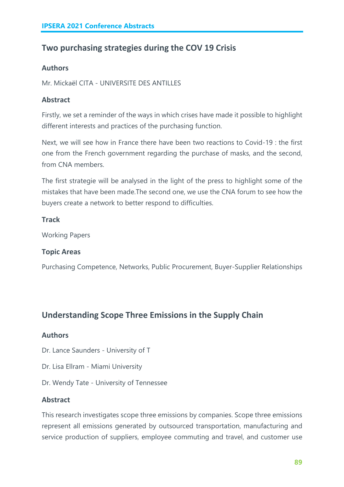# **Two purchasing strategies during the COV 19 Crisis**

# **Authors**

Mr. Mickaël CITA - UNIVERSITE DES ANTILLES

# **Abstract**

Firstly, we set a reminder of the ways in which crises have made it possible to highlight different interests and practices of the purchasing function.

Next, we will see how in France there have been two reactions to Covid-19 : the first one from the French government regarding the purchase of masks, and the second, from CNA members.

The first strategie will be analysed in the light of the press to highlight some of the mistakes that have been made.The second one, we use the CNA forum to see how the buyers create a network to better respond to difficulties.

# **Track**

Working Papers

# **Topic Areas**

Purchasing Competence, Networks, Public Procurement, Buyer-Supplier Relationships

# **Understanding Scope Three Emissions in the Supply Chain**

# **Authors**

Dr. Lance Saunders - University of T

- Dr. Lisa Ellram Miami University
- Dr. Wendy Tate University of Tennessee

# **Abstract**

This research investigates scope three emissions by companies. Scope three emissions represent all emissions generated by outsourced transportation, manufacturing and service production of suppliers, employee commuting and travel, and customer use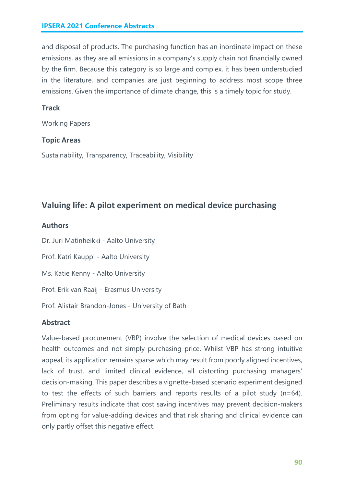and disposal of products. The purchasing function has an inordinate impact on these emissions, as they are all emissions in a company's supply chain not financially owned by the firm. Because this category is so large and complex, it has been understudied in the literature, and companies are just beginning to address most scope three emissions. Given the importance of climate change, this is a timely topic for study.

#### **Track**

Working Papers

#### **Topic Areas**

Sustainability, Transparency, Traceability, Visibility

# **Valuing life: A pilot experiment on medical device purchasing**

#### **Authors**

Dr. Juri Matinheikki - Aalto University

Prof. Katri Kauppi - Aalto University

Ms. Katie Kenny - Aalto University

Prof. Erik van Raaij - Erasmus University

Prof. Alistair Brandon-Jones - University of Bath

# **Abstract**

Value-based procurement (VBP) involve the selection of medical devices based on health outcomes and not simply purchasing price. Whilst VBP has strong intuitive appeal, its application remains sparse which may result from poorly aligned incentives, lack of trust, and limited clinical evidence, all distorting purchasing managers' decision-making. This paper describes a vignette-based scenario experiment designed to test the effects of such barriers and reports results of a pilot study (n=64). Preliminary results indicate that cost saving incentives may prevent decision-makers from opting for value-adding devices and that risk sharing and clinical evidence can only partly offset this negative effect.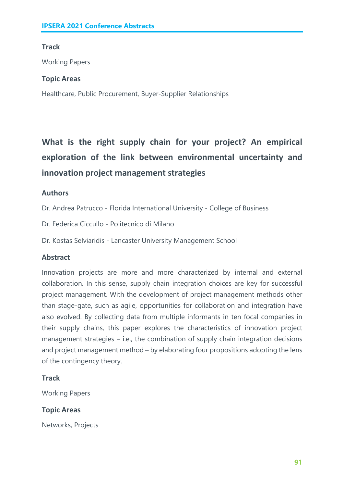# **Track**

Working Papers

#### **Topic Areas**

Healthcare, Public Procurement, Buyer-Supplier Relationships

**What is the right supply chain for your project? An empirical exploration of the link between environmental uncertainty and innovation project management strategies**

# **Authors**

Dr. Andrea Patrucco - Florida International University - College of Business

Dr. Federica Ciccullo - Politecnico di Milano

Dr. Kostas Selviaridis - Lancaster University Management School

# **Abstract**

Innovation projects are more and more characterized by internal and external collaboration. In this sense, supply chain integration choices are key for successful project management. With the development of project management methods other than stage-gate, such as agile, opportunities for collaboration and integration have also evolved. By collecting data from multiple informants in ten focal companies in their supply chains, this paper explores the characteristics of innovation project management strategies – i.e., the combination of supply chain integration decisions and project management method – by elaborating four propositions adopting the lens of the contingency theory.

# **Track**

Working Papers

# **Topic Areas**

Networks, Projects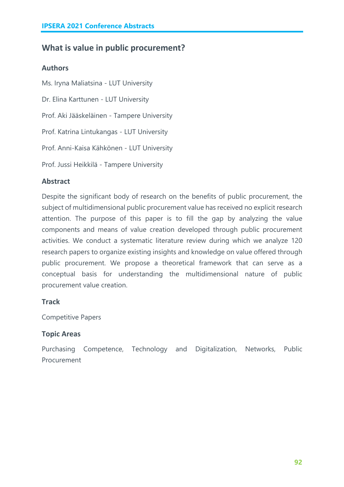# **What is value in public procurement?**

#### **Authors**

Ms. Iryna Maliatsina - LUT University Dr. Elina Karttunen - LUT University Prof. Aki Jääskeläinen - Tampere University Prof. Katrina Lintukangas - LUT University Prof. Anni-Kaisa Kähkönen - LUT University Prof. Jussi Heikkilä - Tampere University

# **Abstract**

Despite the significant body of research on the benefits of public procurement, the subject of multidimensional public procurement value has received no explicit research attention. The purpose of this paper is to fill the gap by analyzing the value components and means of value creation developed through public procurement activities. We conduct a systematic literature review during which we analyze 120 research papers to organize existing insights and knowledge on value offered through public procurement. We propose a theoretical framework that can serve as a conceptual basis for understanding the multidimensional nature of public procurement value creation.

# **Track**

Competitive Papers

# **Topic Areas**

Purchasing Competence, Technology and Digitalization, Networks, Public Procurement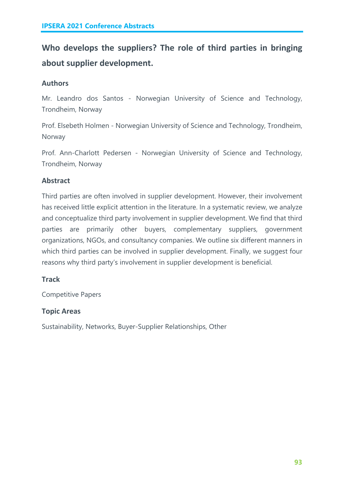# **Who develops the suppliers? The role of third parties in bringing about supplier development.**

# **Authors**

Mr. Leandro dos Santos - Norwegian University of Science and Technology, Trondheim, Norway

Prof. Elsebeth Holmen - Norwegian University of Science and Technology, Trondheim, Norway

Prof. Ann-Charlott Pedersen - Norwegian University of Science and Technology, Trondheim, Norway

# **Abstract**

Third parties are often involved in supplier development. However, their involvement has received little explicit attention in the literature. In a systematic review, we analyze and conceptualize third party involvement in supplier development. We find that third parties are primarily other buyers, complementary suppliers, government organizations, NGOs, and consultancy companies. We outline six different manners in which third parties can be involved in supplier development. Finally, we suggest four reasons why third party's involvement in supplier development is beneficial.

# **Track**

Competitive Papers

# **Topic Areas**

Sustainability, Networks, Buyer-Supplier Relationships, Other